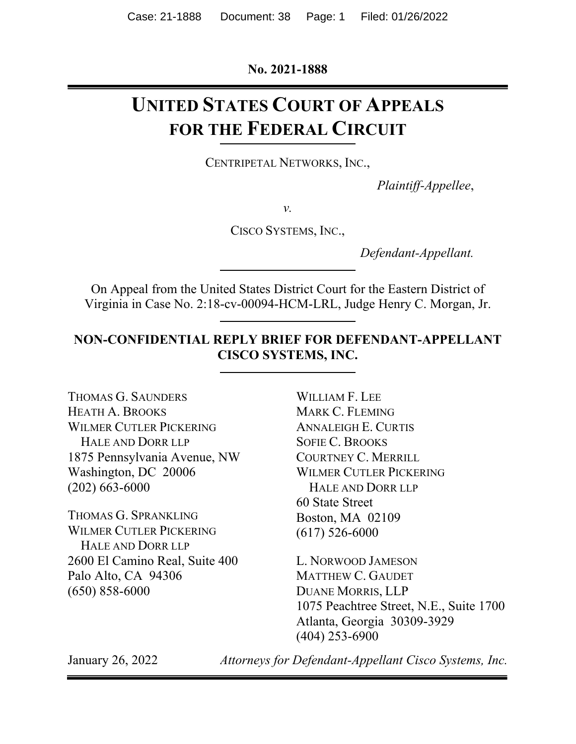**No. 2021-1888** 

# **UNITED STATES COURT OF APPEALS FOR THE FEDERAL CIRCUIT**

CENTRIPETAL NETWORKS, INC.,

*Plaintiff-Appellee*,

*v.* 

CISCO SYSTEMS, INC.,

*Defendant-Appellant.* 

On Appeal from the United States District Court for the Eastern District of Virginia in Case No. 2:18-cv-00094-HCM-LRL, Judge Henry C. Morgan, Jr.

### **NON-CONFIDENTIAL REPLY BRIEF FOR DEFENDANT-APPELLANT CISCO SYSTEMS, INC.**

THOMAS G. SAUNDERS HEATH A. BROOKS WILMER CUTLER PICKERING HALE AND DORR LLP 1875 Pennsylvania Avenue, NW Washington, DC 20006 (202) 663-6000

THOMAS G. SPRANKLING WILMER CUTLER PICKERING HALE AND DORR LLP 2600 El Camino Real, Suite 400 Palo Alto, CA 94306 (650) 858-6000

WILLIAM F. LEE MARK C. FLEMING ANNALEIGH E. CURTIS SOFIE C. BROOKS COURTNEY C. MERRILL WILMER CUTLER PICKERING HALE AND DORR LLP 60 State Street Boston, MA 02109 (617) 526-6000

L. NORWOOD JAMESON MATTHEW C. GAUDET DUANE MORRIS, LLP 1075 Peachtree Street, N.E., Suite 1700 Atlanta, Georgia 30309-3929 (404) 253-6900

January 26, 2022 *Attorneys for Defendant-Appellant Cisco Systems, Inc.*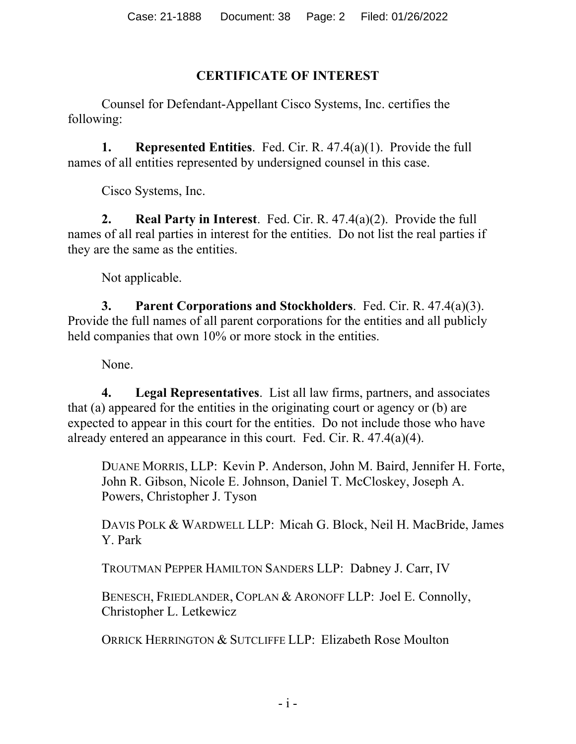## **CERTIFICATE OF INTEREST**

Counsel for Defendant-Appellant Cisco Systems, Inc. certifies the following:

**1. Represented Entities**. Fed. Cir. R. 47.4(a)(1). Provide the full names of all entities represented by undersigned counsel in this case.

Cisco Systems, Inc.

**2. Real Party in Interest**. Fed. Cir. R. 47.4(a)(2). Provide the full names of all real parties in interest for the entities. Do not list the real parties if they are the same as the entities.

Not applicable.

**3. Parent Corporations and Stockholders**. Fed. Cir. R. 47.4(a)(3). Provide the full names of all parent corporations for the entities and all publicly held companies that own 10% or more stock in the entities.

None.

**4. Legal Representatives**. List all law firms, partners, and associates that (a) appeared for the entities in the originating court or agency or (b) are expected to appear in this court for the entities. Do not include those who have already entered an appearance in this court. Fed. Cir. R. 47.4(a)(4).

DUANE MORRIS, LLP: Kevin P. Anderson, John M. Baird, Jennifer H. Forte, John R. Gibson, Nicole E. Johnson, Daniel T. McCloskey, Joseph A. Powers, Christopher J. Tyson

DAVIS POLK & WARDWELL LLP: Micah G. Block, Neil H. MacBride, James Y. Park

TROUTMAN PEPPER HAMILTON SANDERS LLP: Dabney J. Carr, IV

BENESCH, FRIEDLANDER, COPLAN & ARONOFF LLP: Joel E. Connolly, Christopher L. Letkewicz

ORRICK HERRINGTON & SUTCLIFFE LLP: Elizabeth Rose Moulton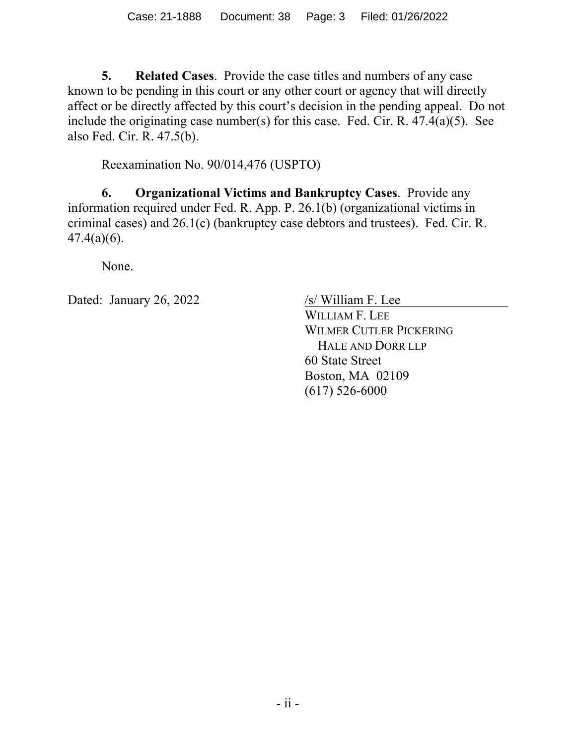**5. Related Cases**. Provide the case titles and numbers of any case known to be pending in this court or any other court or agency that will directly affect or be directly affected by this court's decision in the pending appeal. Do not include the originating case number(s) for this case. Fed. Cir. R. 47.4(a)(5). See also Fed. Cir. R. 47.5(b).

Reexamination No. 90/014,476 (USPTO)

**6. Organizational Victims and Bankruptcy Cases**. Provide any information required under Fed. R. App. P. 26.1(b) (organizational victims in criminal cases) and 26.1(c) (bankruptcy case debtors and trustees). Fed. Cir. R. 47.4(a)(6).

None.

Dated: January 26, 2022 /s/ William F. Lee

WILLIAM F. LEE WILMER CUTLER PICKERING HALE AND DORR LLP 60 State Street Boston, MA 02109 (617) 526-6000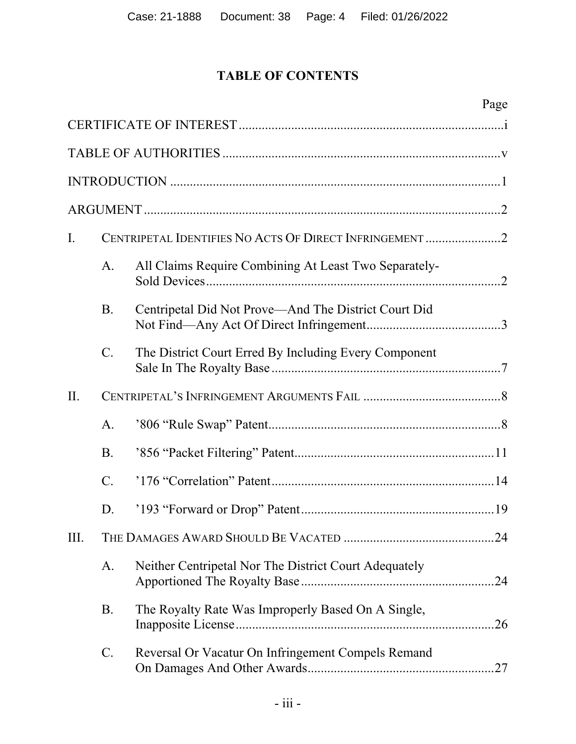## **TABLE OF CONTENTS**

|                |                 |                                                         | Page |
|----------------|-----------------|---------------------------------------------------------|------|
|                |                 |                                                         |      |
|                |                 |                                                         |      |
|                |                 |                                                         |      |
|                |                 |                                                         |      |
| $\mathbf{I}$ . |                 | CENTRIPETAL IDENTIFIES NO ACTS OF DIRECT INFRINGEMENT 2 |      |
|                | A.              | All Claims Require Combining At Least Two Separately-   |      |
|                | <b>B.</b>       | Centripetal Did Not Prove—And The District Court Did    |      |
|                | $\mathcal{C}$ . | The District Court Erred By Including Every Component   |      |
| II.            |                 |                                                         |      |
|                | A.              |                                                         |      |
|                | <b>B.</b>       |                                                         |      |
|                | $\mathcal{C}$ . |                                                         |      |
|                | D.              |                                                         |      |
| III.           |                 |                                                         |      |
|                | A.              | Neither Centripetal Nor The District Court Adequately   |      |
|                | <b>B.</b>       | The Royalty Rate Was Improperly Based On A Single,      |      |
|                | $\mathcal{C}$ . | Reversal Or Vacatur On Infringement Compels Remand      |      |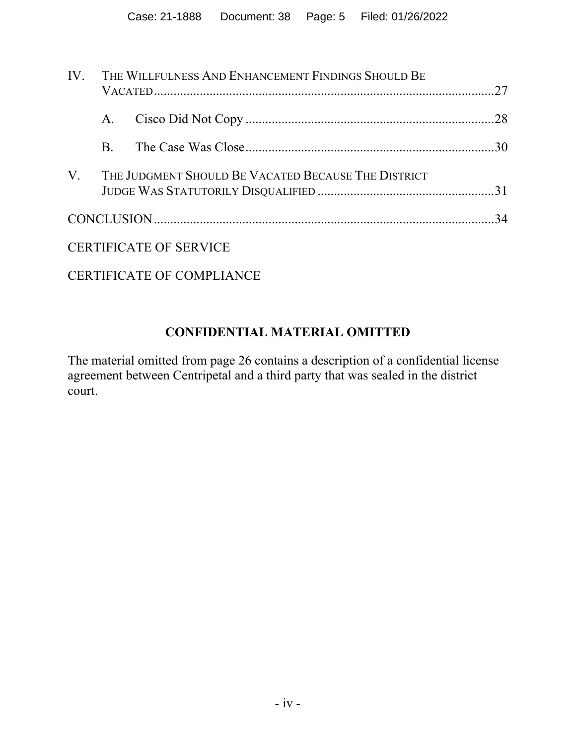|    | IV. THE WILLFULNESS AND ENHANCEMENT FINDINGS SHOULD BE |                                                     |  |
|----|--------------------------------------------------------|-----------------------------------------------------|--|
|    | A.                                                     |                                                     |  |
|    | B.                                                     |                                                     |  |
| V. |                                                        | THE JUDGMENT SHOULD BE VACATED BECAUSE THE DISTRICT |  |
|    |                                                        |                                                     |  |
|    |                                                        | <b>CERTIFICATE OF SERVICE</b>                       |  |
|    |                                                        |                                                     |  |

CERTIFICATE OF COMPLIANCE

## **CONFIDENTIAL MATERIAL OMITTED**

The material omitted from page 26 contains a description of a confidential license agreement between Centripetal and a third party that was sealed in the district court.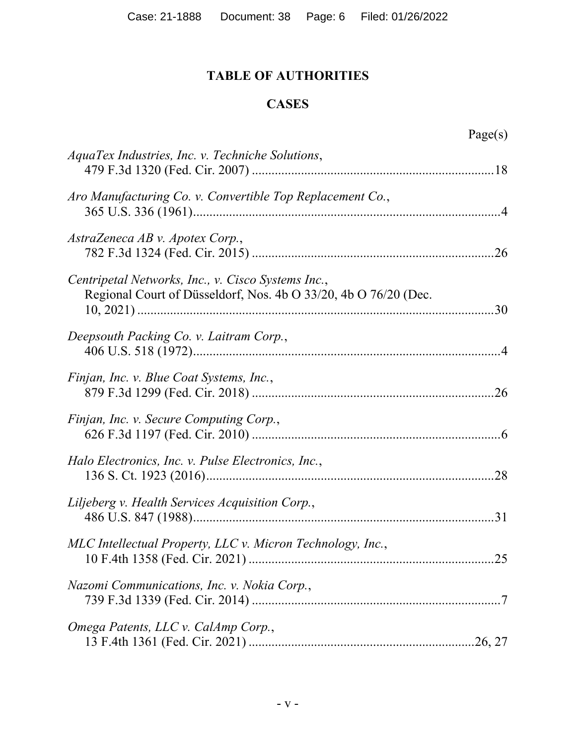## **TABLE OF AUTHORITIES**

## **CASES**

| AquaTex Industries, Inc. v. Techniche Solutions,                                                                      |
|-----------------------------------------------------------------------------------------------------------------------|
| Aro Manufacturing Co. v. Convertible Top Replacement Co.,                                                             |
| AstraZeneca AB v. Apotex Corp.,                                                                                       |
| Centripetal Networks, Inc., v. Cisco Systems Inc.,<br>Regional Court of Düsseldorf, Nos. 4b O 33/20, 4b O 76/20 (Dec. |
| Deepsouth Packing Co. v. Laitram Corp.,                                                                               |
| Finjan, Inc. v. Blue Coat Systems, Inc.,                                                                              |
| Finjan, Inc. v. Secure Computing Corp.,                                                                               |
| Halo Electronics, Inc. v. Pulse Electronics, Inc.,                                                                    |
| Liljeberg v. Health Services Acquisition Corp.,                                                                       |
| MLC Intellectual Property, LLC v. Micron Technology, Inc.,                                                            |
| Nazomi Communications, Inc. v. Nokia Corp.,                                                                           |
| Omega Patents, LLC v. CalAmp Corp.,                                                                                   |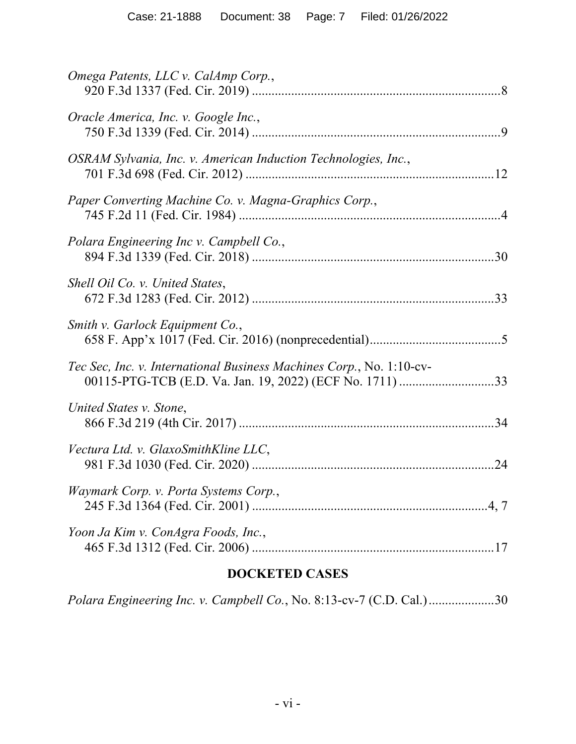| Omega Patents, LLC v. CalAmp Corp.,                                  |
|----------------------------------------------------------------------|
| Oracle America, Inc. v. Google Inc.,                                 |
| OSRAM Sylvania, Inc. v. American Induction Technologies, Inc.,       |
| Paper Converting Machine Co. v. Magna-Graphics Corp.,                |
| Polara Engineering Inc v. Campbell Co.,                              |
| Shell Oil Co. v. United States,                                      |
| Smith v. Garlock Equipment Co.,                                      |
| Tec Sec, Inc. v. International Business Machines Corp., No. 1:10-cv- |
| United States v. Stone,                                              |
| Vectura Ltd. v. GlaxoSmithKline LLC,                                 |
| Waymark Corp. v. Porta Systems Corp.,                                |
| Yoon Ja Kim v. ConAgra Foods, Inc.,                                  |
|                                                                      |

## **DOCKETED CASES**

*Polara Engineering Inc. v. Campbell Co.*, No. 8:13-cv-7 (C.D. Cal.) .................... 30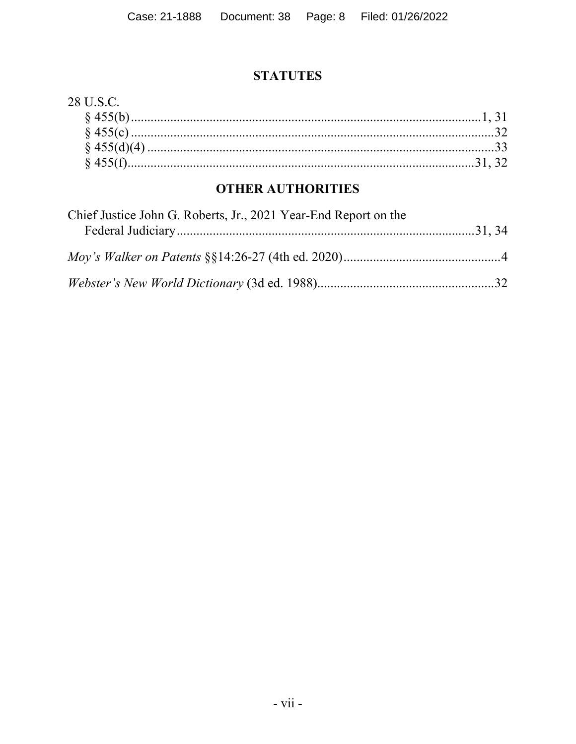### **STATUTES**

### 28 U.S.C.

## **OTHER AUTHORITIES**

| Chief Justice John G. Roberts, Jr., 2021 Year-End Report on the |  |
|-----------------------------------------------------------------|--|
|                                                                 |  |
|                                                                 |  |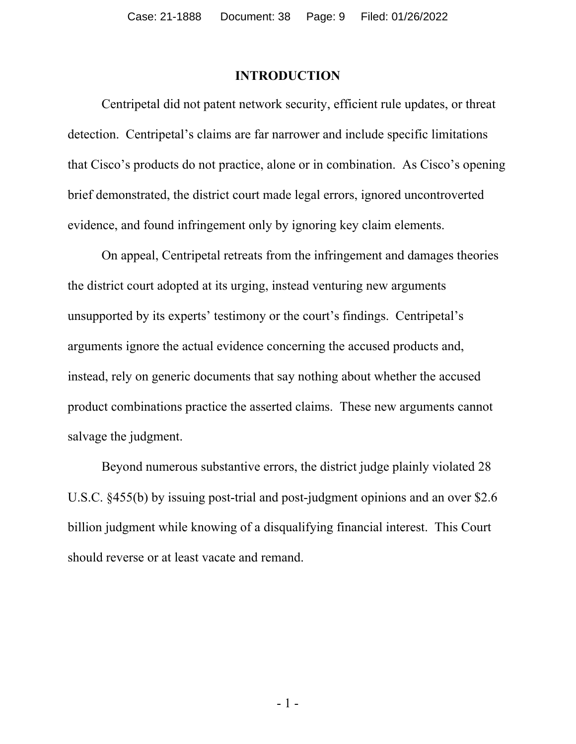#### **INTRODUCTION**

Centripetal did not patent network security, efficient rule updates, or threat detection. Centripetal's claims are far narrower and include specific limitations that Cisco's products do not practice, alone or in combination. As Cisco's opening brief demonstrated, the district court made legal errors, ignored uncontroverted evidence, and found infringement only by ignoring key claim elements.

On appeal, Centripetal retreats from the infringement and damages theories the district court adopted at its urging, instead venturing new arguments unsupported by its experts' testimony or the court's findings. Centripetal's arguments ignore the actual evidence concerning the accused products and, instead, rely on generic documents that say nothing about whether the accused product combinations practice the asserted claims. These new arguments cannot salvage the judgment.

Beyond numerous substantive errors, the district judge plainly violated 28 U.S.C. §455(b) by issuing post-trial and post-judgment opinions and an over \$2.6 billion judgment while knowing of a disqualifying financial interest. This Court should reverse or at least vacate and remand.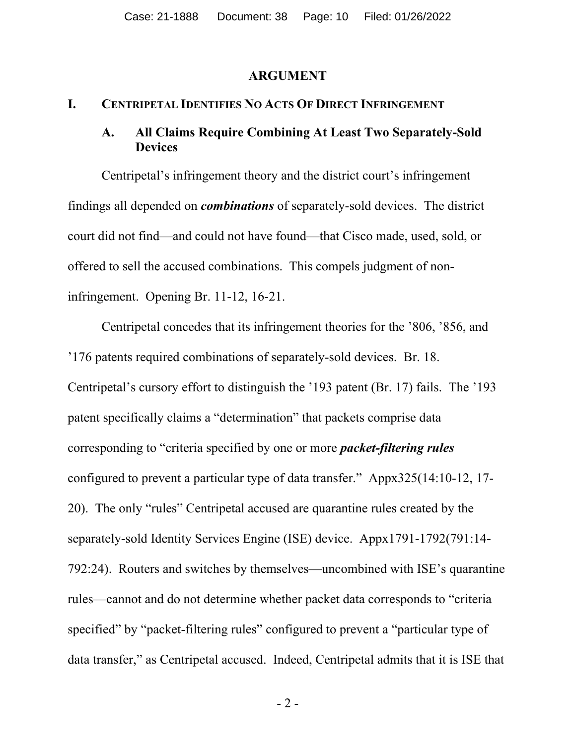#### **ARGUMENT**

#### **I. CENTRIPETAL IDENTIFIES NO ACTS OF DIRECT INFRINGEMENT**

#### **A. All Claims Require Combining At Least Two Separately-Sold Devices**

Centripetal's infringement theory and the district court's infringement findings all depended on *combinations* of separately-sold devices. The district court did not find—and could not have found—that Cisco made, used, sold, or offered to sell the accused combinations. This compels judgment of noninfringement. Opening Br. 11-12, 16-21.

Centripetal concedes that its infringement theories for the '806, '856, and '176 patents required combinations of separately-sold devices. Br. 18. Centripetal's cursory effort to distinguish the '193 patent (Br. 17) fails. The '193 patent specifically claims a "determination" that packets comprise data corresponding to "criteria specified by one or more *packet-filtering rules* configured to prevent a particular type of data transfer." Appx325(14:10-12, 17- 20). The only "rules" Centripetal accused are quarantine rules created by the separately-sold Identity Services Engine (ISE) device. Appx1791-1792(791:14- 792:24). Routers and switches by themselves—uncombined with ISE's quarantine rules—cannot and do not determine whether packet data corresponds to "criteria specified" by "packet-filtering rules" configured to prevent a "particular type of data transfer," as Centripetal accused. Indeed, Centripetal admits that it is ISE that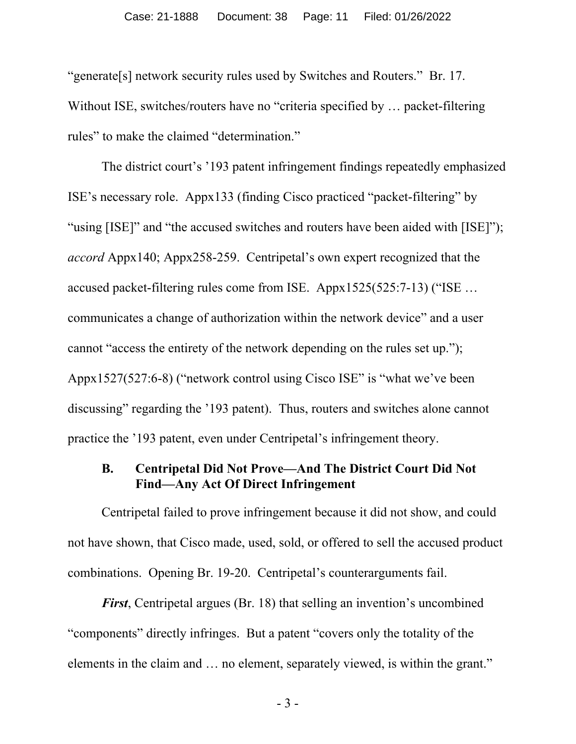"generate[s] network security rules used by Switches and Routers." Br. 17. Without ISE, switches/routers have no "criteria specified by ... packet-filtering rules" to make the claimed "determination."

The district court's '193 patent infringement findings repeatedly emphasized ISE's necessary role. Appx133 (finding Cisco practiced "packet-filtering" by "using [ISE]" and "the accused switches and routers have been aided with [ISE]"); *accord* Appx140; Appx258-259. Centripetal's own expert recognized that the accused packet-filtering rules come from ISE. Appx1525(525:7-13) ("ISE … communicates a change of authorization within the network device" and a user cannot "access the entirety of the network depending on the rules set up."); Appx1527(527:6-8) ("network control using Cisco ISE" is "what we've been discussing" regarding the '193 patent). Thus, routers and switches alone cannot practice the '193 patent, even under Centripetal's infringement theory.

#### **B. Centripetal Did Not Prove—And The District Court Did Not Find—Any Act Of Direct Infringement**

Centripetal failed to prove infringement because it did not show, and could not have shown, that Cisco made, used, sold, or offered to sell the accused product combinations. Opening Br. 19-20. Centripetal's counterarguments fail.

*First*, Centripetal argues (Br. 18) that selling an invention's uncombined "components" directly infringes. But a patent "covers only the totality of the elements in the claim and … no element, separately viewed, is within the grant."

- 3 -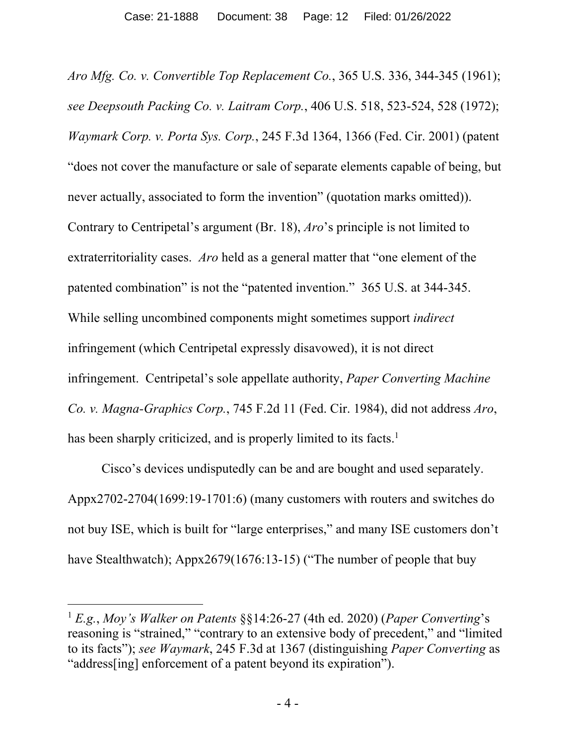*Aro Mfg. Co. v. Convertible Top Replacement Co.*, 365 U.S. 336, 344-345 (1961); *see Deepsouth Packing Co. v. Laitram Corp.*, 406 U.S. 518, 523-524, 528 (1972); *Waymark Corp. v. Porta Sys. Corp.*, 245 F.3d 1364, 1366 (Fed. Cir. 2001) (patent "does not cover the manufacture or sale of separate elements capable of being, but never actually, associated to form the invention" (quotation marks omitted)). Contrary to Centripetal's argument (Br. 18), *Aro*'s principle is not limited to extraterritoriality cases. *Aro* held as a general matter that "one element of the patented combination" is not the "patented invention." 365 U.S. at 344-345. While selling uncombined components might sometimes support *indirect*  infringement (which Centripetal expressly disavowed), it is not direct infringement. Centripetal's sole appellate authority, *Paper Converting Machine Co. v. Magna-Graphics Corp.*, 745 F.2d 11 (Fed. Cir. 1984), did not address *Aro*, has been sharply criticized, and is properly limited to its facts.<sup>1</sup>

Cisco's devices undisputedly can be and are bought and used separately. Appx2702-2704(1699:19-1701:6) (many customers with routers and switches do not buy ISE, which is built for "large enterprises," and many ISE customers don't have Stealthwatch); Appx2679(1676:13-15) ("The number of people that buy

<sup>1</sup> *E.g.*, *Moy's Walker on Patents* §§14:26-27 (4th ed. 2020) (*Paper Converting*'s reasoning is "strained," "contrary to an extensive body of precedent," and "limited to its facts"); *see Waymark*, 245 F.3d at 1367 (distinguishing *Paper Converting* as "address[ing] enforcement of a patent beyond its expiration").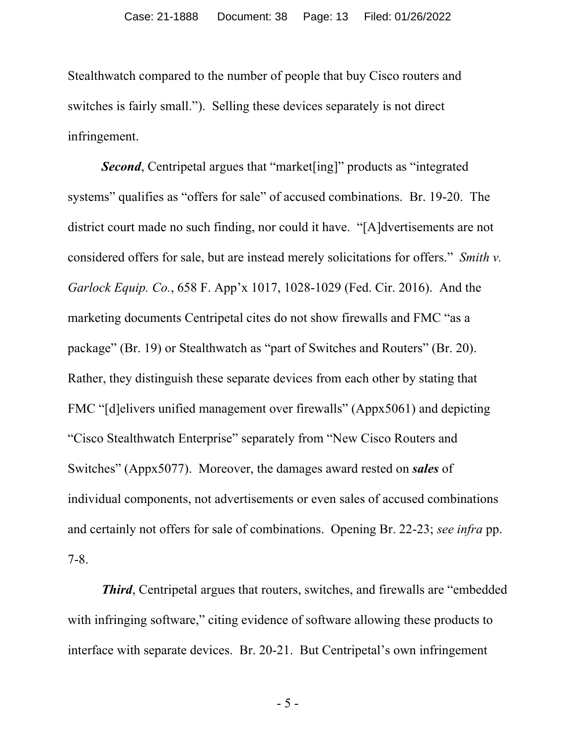Stealthwatch compared to the number of people that buy Cisco routers and switches is fairly small."). Selling these devices separately is not direct infringement.

*Second*, Centripetal argues that "market[ing]" products as "integrated systems" qualifies as "offers for sale" of accused combinations. Br. 19-20. The district court made no such finding, nor could it have. "[A]dvertisements are not considered offers for sale, but are instead merely solicitations for offers." *Smith v. Garlock Equip. Co.*, 658 F. App'x 1017, 1028-1029 (Fed. Cir. 2016). And the marketing documents Centripetal cites do not show firewalls and FMC "as a package" (Br. 19) or Stealthwatch as "part of Switches and Routers" (Br. 20). Rather, they distinguish these separate devices from each other by stating that FMC "[d]elivers unified management over firewalls" (Appx5061) and depicting "Cisco Stealthwatch Enterprise" separately from "New Cisco Routers and Switches" (Appx5077). Moreover, the damages award rested on *sales* of individual components, not advertisements or even sales of accused combinations and certainly not offers for sale of combinations. Opening Br. 22-23; *see infra* pp. 7-8.

*Third*, Centripetal argues that routers, switches, and firewalls are "embedded" with infringing software," citing evidence of software allowing these products to interface with separate devices. Br. 20-21. But Centripetal's own infringement

- 5 -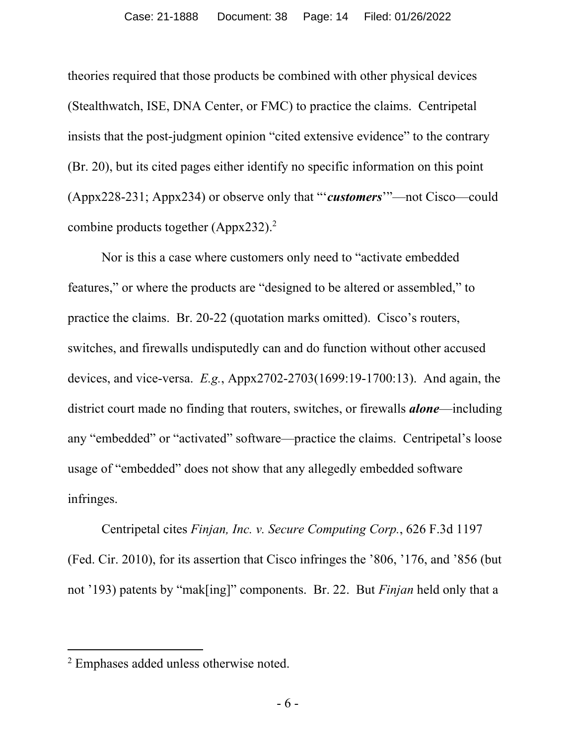theories required that those products be combined with other physical devices (Stealthwatch, ISE, DNA Center, or FMC) to practice the claims. Centripetal insists that the post-judgment opinion "cited extensive evidence" to the contrary (Br. 20), but its cited pages either identify no specific information on this point (Appx228-231; Appx234) or observe only that "'*customers*'"—not Cisco—could combine products together (Appx232).<sup>2</sup>

Nor is this a case where customers only need to "activate embedded features," or where the products are "designed to be altered or assembled," to practice the claims. Br. 20-22 (quotation marks omitted). Cisco's routers, switches, and firewalls undisputedly can and do function without other accused devices, and vice-versa. *E.g.*, Appx2702-2703(1699:19-1700:13). And again, the district court made no finding that routers, switches, or firewalls *alone*—including any "embedded" or "activated" software—practice the claims. Centripetal's loose usage of "embedded" does not show that any allegedly embedded software infringes.

Centripetal cites *Finjan, Inc. v. Secure Computing Corp.*, 626 F.3d 1197 (Fed. Cir. 2010), for its assertion that Cisco infringes the '806, '176, and '856 (but not '193) patents by "mak[ing]" components. Br. 22. But *Finjan* held only that a

<sup>&</sup>lt;sup>2</sup> Emphases added unless otherwise noted.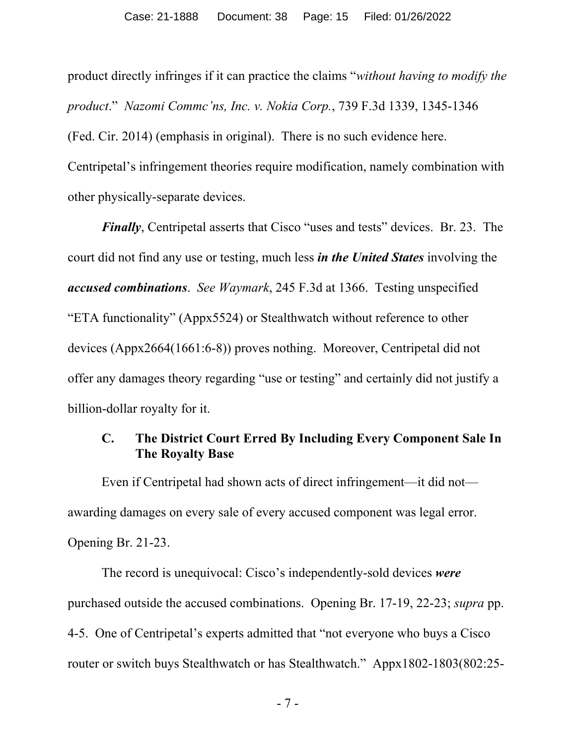product directly infringes if it can practice the claims "*without having to modify the product*." *Nazomi Commc'ns, Inc. v. Nokia Corp.*, 739 F.3d 1339, 1345-1346 (Fed. Cir. 2014) (emphasis in original). There is no such evidence here. Centripetal's infringement theories require modification, namely combination with other physically-separate devices.

*Finally*, Centripetal asserts that Cisco "uses and tests" devices. Br. 23. The court did not find any use or testing, much less *in the United States* involving the *accused combinations*. *See Waymark*, 245 F.3d at 1366.Testing unspecified "ETA functionality" (Appx5524) or Stealthwatch without reference to other devices (Appx2664(1661:6-8)) proves nothing. Moreover, Centripetal did not offer any damages theory regarding "use or testing" and certainly did not justify a billion-dollar royalty for it.

### **C. The District Court Erred By Including Every Component Sale In The Royalty Base**

Even if Centripetal had shown acts of direct infringement—it did not awarding damages on every sale of every accused component was legal error. Opening Br. 21-23.

The record is unequivocal: Cisco's independently-sold devices *were* purchased outside the accused combinations. Opening Br. 17-19, 22-23; *supra* pp. 4-5. One of Centripetal's experts admitted that "not everyone who buys a Cisco router or switch buys Stealthwatch or has Stealthwatch." Appx1802-1803(802:25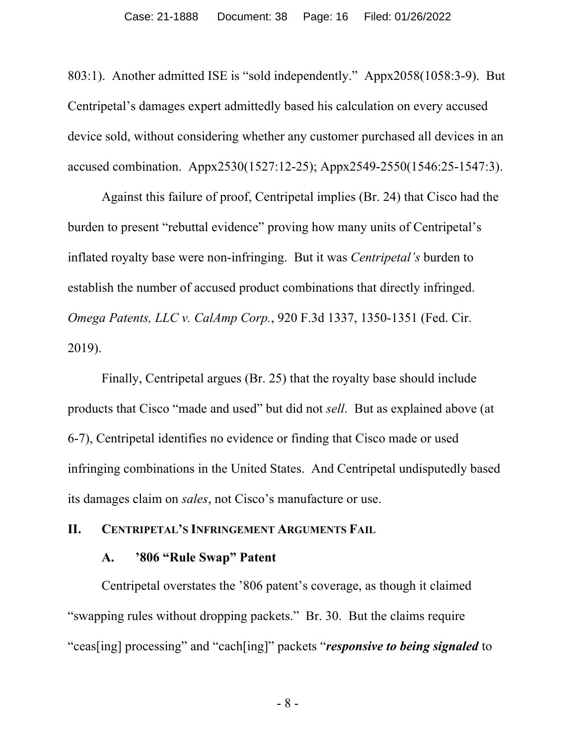803:1). Another admitted ISE is "sold independently." Appx2058(1058:3-9). But Centripetal's damages expert admittedly based his calculation on every accused device sold, without considering whether any customer purchased all devices in an accused combination. Appx2530(1527:12-25); Appx2549-2550(1546:25-1547:3).

Against this failure of proof, Centripetal implies (Br. 24) that Cisco had the burden to present "rebuttal evidence" proving how many units of Centripetal's inflated royalty base were non-infringing. But it was *Centripetal's* burden to establish the number of accused product combinations that directly infringed. *Omega Patents, LLC v. CalAmp Corp.*, 920 F.3d 1337, 1350-1351 (Fed. Cir. 2019).

Finally, Centripetal argues (Br. 25) that the royalty base should include products that Cisco "made and used" but did not *sell*. But as explained above (at 6-7), Centripetal identifies no evidence or finding that Cisco made or used infringing combinations in the United States. And Centripetal undisputedly based its damages claim on *sales*, not Cisco's manufacture or use.

#### **II. CENTRIPETAL'S INFRINGEMENT ARGUMENTS FAIL**

#### **A. '806 "Rule Swap" Patent**

Centripetal overstates the '806 patent's coverage, as though it claimed "swapping rules without dropping packets." Br. 30. But the claims require "ceas[ing] processing" and "cach[ing]" packets "*responsive to being signaled* to

- 8 -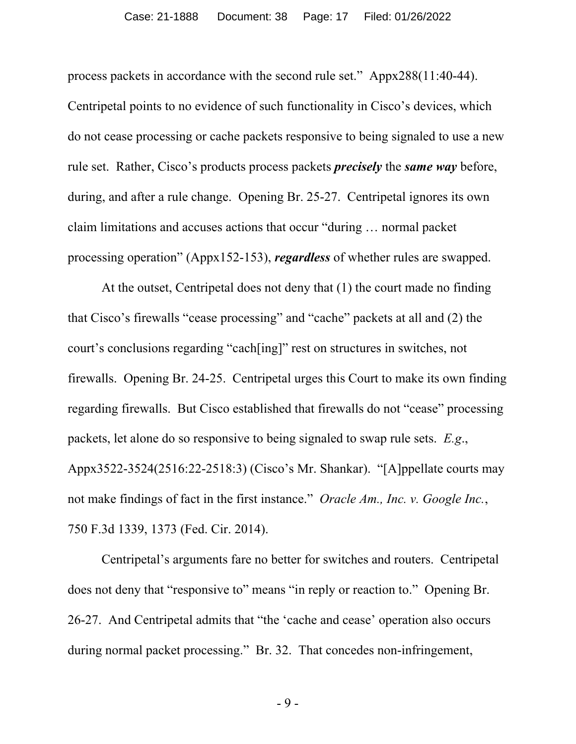process packets in accordance with the second rule set." Appx288(11:40-44). Centripetal points to no evidence of such functionality in Cisco's devices, which do not cease processing or cache packets responsive to being signaled to use a new rule set. Rather, Cisco's products process packets *precisely* the *same way* before, during, and after a rule change. Opening Br. 25-27. Centripetal ignores its own claim limitations and accuses actions that occur "during … normal packet processing operation" (Appx152-153), *regardless* of whether rules are swapped.

At the outset, Centripetal does not deny that (1) the court made no finding that Cisco's firewalls "cease processing" and "cache" packets at all and (2) the court's conclusions regarding "cach[ing]" rest on structures in switches, not firewalls. Opening Br. 24-25. Centripetal urges this Court to make its own finding regarding firewalls. But Cisco established that firewalls do not "cease" processing packets, let alone do so responsive to being signaled to swap rule sets. *E.g*., Appx3522-3524(2516:22-2518:3) (Cisco's Mr. Shankar). "[A]ppellate courts may not make findings of fact in the first instance." *Oracle Am., Inc. v. Google Inc.*, 750 F.3d 1339, 1373 (Fed. Cir. 2014).

Centripetal's arguments fare no better for switches and routers. Centripetal does not deny that "responsive to" means "in reply or reaction to." Opening Br. 26-27. And Centripetal admits that "the 'cache and cease' operation also occurs during normal packet processing." Br. 32. That concedes non-infringement,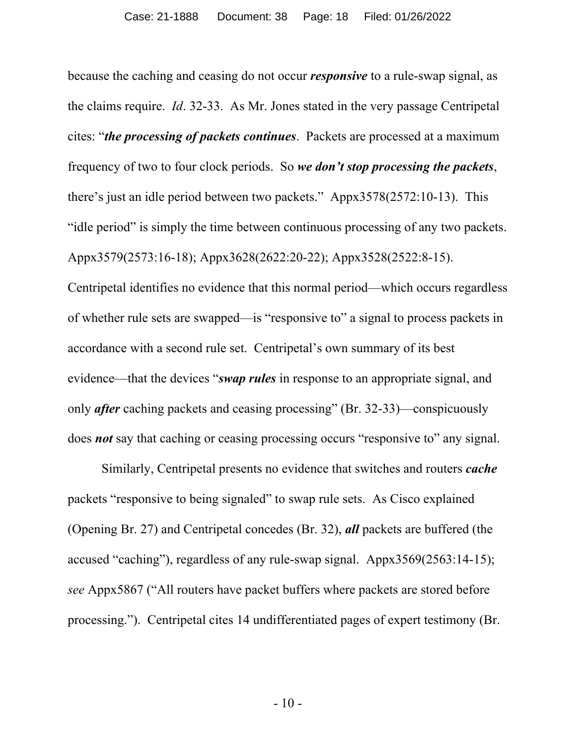because the caching and ceasing do not occur *responsive* to a rule-swap signal, as the claims require. *Id*. 32-33. As Mr. Jones stated in the very passage Centripetal cites: "*the processing of packets continues*. Packets are processed at a maximum frequency of two to four clock periods. So *we don't stop processing the packets*, there's just an idle period between two packets." Appx3578(2572:10-13). This "idle period" is simply the time between continuous processing of any two packets. Appx3579(2573:16-18); Appx3628(2622:20-22); Appx3528(2522:8-15). Centripetal identifies no evidence that this normal period—which occurs regardless of whether rule sets are swapped—is "responsive to" a signal to process packets in accordance with a second rule set. Centripetal's own summary of its best

evidence—that the devices "*swap rules* in response to an appropriate signal, and only *after* caching packets and ceasing processing" (Br. 32-33)—conspicuously does *not* say that caching or ceasing processing occurs "responsive to" any signal.

Similarly, Centripetal presents no evidence that switches and routers *cache* packets "responsive to being signaled" to swap rule sets. As Cisco explained (Opening Br. 27) and Centripetal concedes (Br. 32), *all* packets are buffered (the accused "caching"), regardless of any rule-swap signal. Appx3569(2563:14-15); *see* Appx5867 ("All routers have packet buffers where packets are stored before processing."). Centripetal cites 14 undifferentiated pages of expert testimony (Br.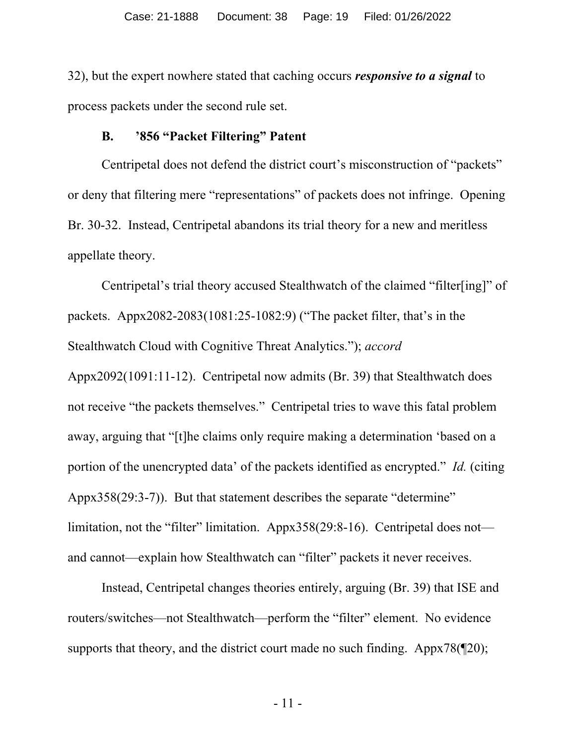32), but the expert nowhere stated that caching occurs *responsive to a signal* to process packets under the second rule set.

#### **B. '856 "Packet Filtering" Patent**

Centripetal does not defend the district court's misconstruction of "packets" or deny that filtering mere "representations" of packets does not infringe. Opening Br. 30-32. Instead, Centripetal abandons its trial theory for a new and meritless appellate theory.

Centripetal's trial theory accused Stealthwatch of the claimed "filter[ing]" of packets. Appx2082-2083(1081:25-1082:9) ("The packet filter, that's in the Stealthwatch Cloud with Cognitive Threat Analytics."); *accord*  Appx2092(1091:11-12). Centripetal now admits (Br. 39) that Stealthwatch does not receive "the packets themselves." Centripetal tries to wave this fatal problem away, arguing that "[t]he claims only require making a determination 'based on a portion of the unencrypted data' of the packets identified as encrypted." *Id.* (citing Appx358(29:3-7)). But that statement describes the separate "determine" limitation, not the "filter" limitation. Appx358(29:8-16). Centripetal does not and cannot—explain how Stealthwatch can "filter" packets it never receives.

Instead, Centripetal changes theories entirely, arguing (Br. 39) that ISE and routers/switches—not Stealthwatch—perform the "filter" element. No evidence supports that theory, and the district court made no such finding. Appx78( $\mathcal{P}$ 20);

- 11 -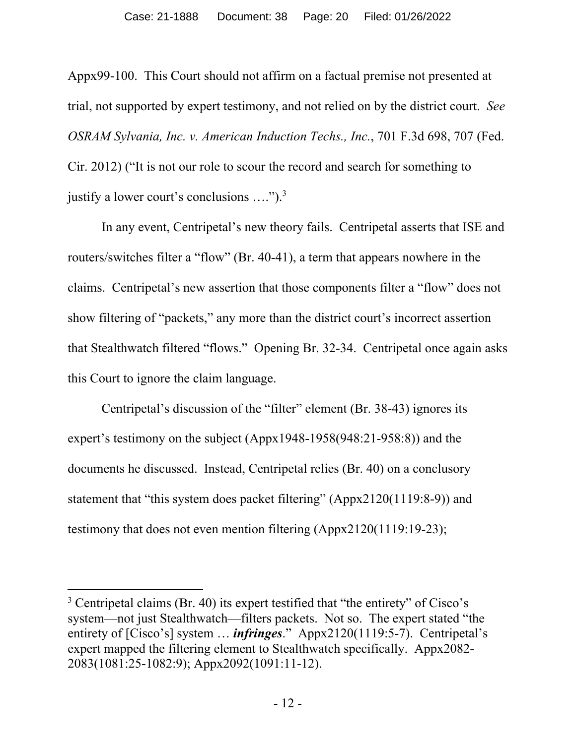Appx99-100. This Court should not affirm on a factual premise not presented at trial, not supported by expert testimony, and not relied on by the district court. *See OSRAM Sylvania, Inc. v. American Induction Techs., Inc.*, 701 F.3d 698, 707 (Fed. Cir. 2012) ("It is not our role to scour the record and search for something to justify a lower court's conclusions  $\dots$ ").<sup>3</sup>

In any event, Centripetal's new theory fails. Centripetal asserts that ISE and routers/switches filter a "flow" (Br. 40-41), a term that appears nowhere in the claims. Centripetal's new assertion that those components filter a "flow" does not show filtering of "packets," any more than the district court's incorrect assertion that Stealthwatch filtered "flows." Opening Br. 32-34. Centripetal once again asks this Court to ignore the claim language.

Centripetal's discussion of the "filter" element (Br. 38-43) ignores its expert's testimony on the subject (Appx1948-1958(948:21-958:8)) and the documents he discussed. Instead, Centripetal relies (Br. 40) on a conclusory statement that "this system does packet filtering" (Appx2120(1119:8-9)) and testimony that does not even mention filtering (Appx2120(1119:19-23);

<sup>&</sup>lt;sup>3</sup> Centripetal claims (Br. 40) its expert testified that "the entirety" of Cisco's system—not just Stealthwatch—filters packets. Not so. The expert stated "the entirety of [Cisco's] system … *infringes*." Appx2120(1119:5-7). Centripetal's expert mapped the filtering element to Stealthwatch specifically. Appx2082- 2083(1081:25-1082:9); Appx2092(1091:11-12).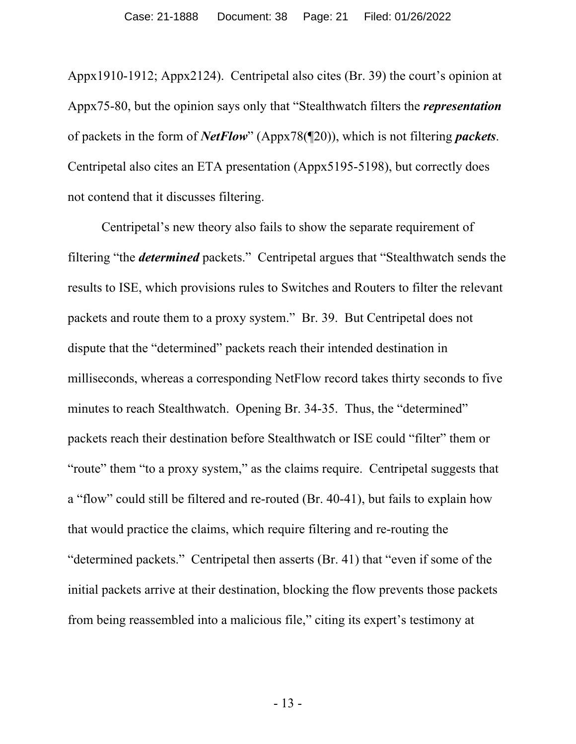Appx1910-1912; Appx2124). Centripetal also cites (Br. 39) the court's opinion at Appx75-80, but the opinion says only that "Stealthwatch filters the *representation* of packets in the form of *NetFlow*" (Appx78(¶20)), which is not filtering *packets*. Centripetal also cites an ETA presentation (Appx5195-5198), but correctly does not contend that it discusses filtering.

Centripetal's new theory also fails to show the separate requirement of filtering "the *determined* packets." Centripetal argues that "Stealthwatch sends the results to ISE, which provisions rules to Switches and Routers to filter the relevant packets and route them to a proxy system." Br. 39. But Centripetal does not dispute that the "determined" packets reach their intended destination in milliseconds, whereas a corresponding NetFlow record takes thirty seconds to five minutes to reach Stealthwatch. Opening Br. 34-35. Thus, the "determined" packets reach their destination before Stealthwatch or ISE could "filter" them or "route" them "to a proxy system," as the claims require. Centripetal suggests that a "flow" could still be filtered and re-routed (Br. 40-41), but fails to explain how that would practice the claims, which require filtering and re-routing the "determined packets." Centripetal then asserts (Br. 41) that "even if some of the initial packets arrive at their destination, blocking the flow prevents those packets from being reassembled into a malicious file," citing its expert's testimony at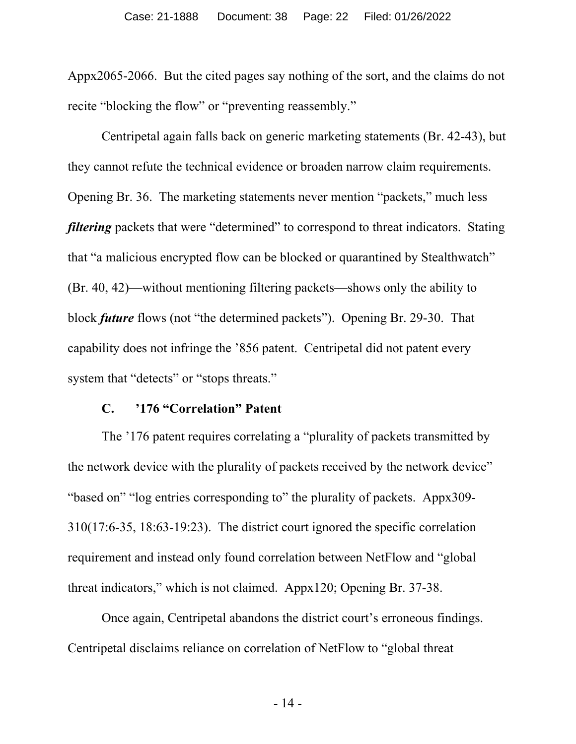Appx2065-2066. But the cited pages say nothing of the sort, and the claims do not recite "blocking the flow" or "preventing reassembly."

Centripetal again falls back on generic marketing statements (Br. 42-43), but they cannot refute the technical evidence or broaden narrow claim requirements. Opening Br. 36. The marketing statements never mention "packets," much less *filtering* packets that were "determined" to correspond to threat indicators. Stating that "a malicious encrypted flow can be blocked or quarantined by Stealthwatch" (Br. 40, 42)—without mentioning filtering packets—shows only the ability to block *future* flows (not "the determined packets"). Opening Br. 29-30. That capability does not infringe the '856 patent. Centripetal did not patent every system that "detects" or "stops threats."

#### **C. '176 "Correlation" Patent**

The '176 patent requires correlating a "plurality of packets transmitted by the network device with the plurality of packets received by the network device" "based on" "log entries corresponding to" the plurality of packets. Appx309- 310(17:6-35, 18:63-19:23). The district court ignored the specific correlation requirement and instead only found correlation between NetFlow and "global threat indicators," which is not claimed. Appx120; Opening Br. 37-38.

Once again, Centripetal abandons the district court's erroneous findings. Centripetal disclaims reliance on correlation of NetFlow to "global threat

- 14 -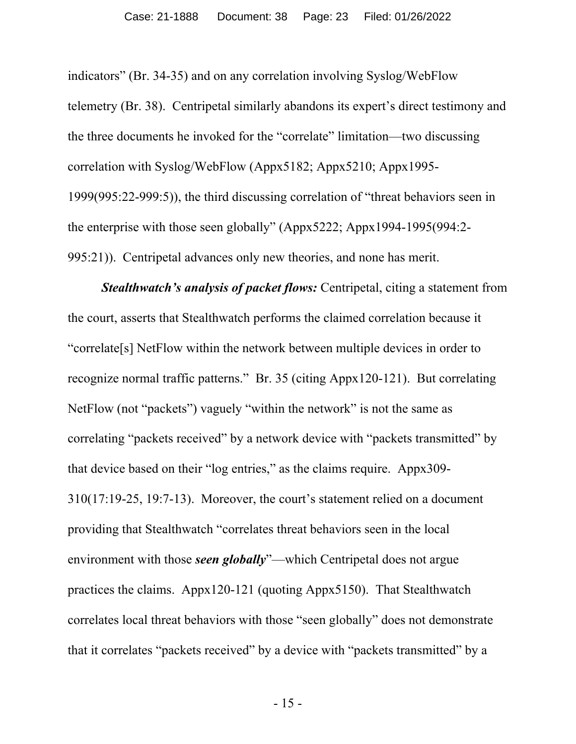indicators" (Br. 34-35) and on any correlation involving Syslog/WebFlow telemetry (Br. 38). Centripetal similarly abandons its expert's direct testimony and the three documents he invoked for the "correlate" limitation—two discussing correlation with Syslog/WebFlow (Appx5182; Appx5210; Appx1995-1999(995:22-999:5)), the third discussing correlation of "threat behaviors seen in the enterprise with those seen globally" (Appx5222; Appx1994-1995(994:2- 995:21)). Centripetal advances only new theories, and none has merit.

*Stealthwatch's analysis of packet flows:* Centripetal, citing a statement from the court, asserts that Stealthwatch performs the claimed correlation because it "correlate[s] NetFlow within the network between multiple devices in order to recognize normal traffic patterns." Br. 35 (citing Appx120-121). But correlating NetFlow (not "packets") vaguely "within the network" is not the same as correlating "packets received" by a network device with "packets transmitted" by that device based on their "log entries," as the claims require. Appx309- 310(17:19-25, 19:7-13). Moreover, the court's statement relied on a document providing that Stealthwatch "correlates threat behaviors seen in the local environment with those *seen globally*"—which Centripetal does not argue practices the claims. Appx120-121 (quoting Appx5150). That Stealthwatch correlates local threat behaviors with those "seen globally" does not demonstrate that it correlates "packets received" by a device with "packets transmitted" by a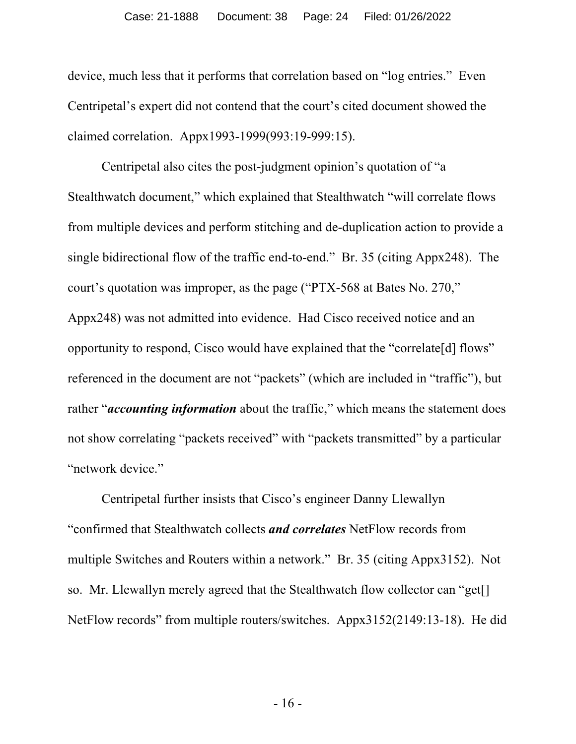device, much less that it performs that correlation based on "log entries." Even Centripetal's expert did not contend that the court's cited document showed the claimed correlation. Appx1993-1999(993:19-999:15).

Centripetal also cites the post-judgment opinion's quotation of "a Stealthwatch document," which explained that Stealthwatch "will correlate flows from multiple devices and perform stitching and de-duplication action to provide a single bidirectional flow of the traffic end-to-end." Br. 35 (citing Appx248). The court's quotation was improper, as the page ("PTX-568 at Bates No. 270," Appx248) was not admitted into evidence. Had Cisco received notice and an opportunity to respond, Cisco would have explained that the "correlate[d] flows" referenced in the document are not "packets" (which are included in "traffic"), but rather "*accounting information* about the traffic," which means the statement does not show correlating "packets received" with "packets transmitted" by a particular "network device."

Centripetal further insists that Cisco's engineer Danny Llewallyn "confirmed that Stealthwatch collects *and correlates* NetFlow records from multiple Switches and Routers within a network." Br. 35 (citing Appx3152). Not so. Mr. Llewallyn merely agreed that the Stealthwatch flow collector can "get[] NetFlow records" from multiple routers/switches. Appx3152(2149:13-18). He did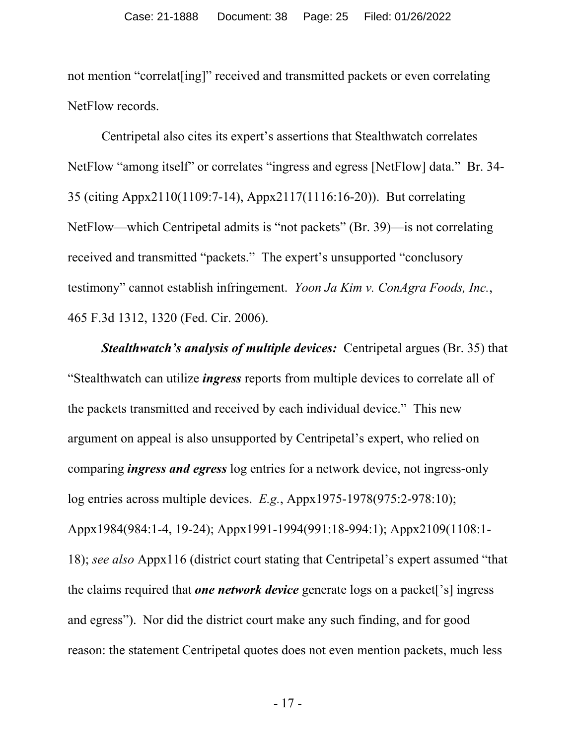not mention "correlat[ing]" received and transmitted packets or even correlating NetFlow records.

Centripetal also cites its expert's assertions that Stealthwatch correlates NetFlow "among itself" or correlates "ingress and egress [NetFlow] data." Br. 34- 35 (citing Appx2110(1109:7-14), Appx2117(1116:16-20)). But correlating NetFlow—which Centripetal admits is "not packets" (Br. 39)—is not correlating received and transmitted "packets." The expert's unsupported "conclusory testimony" cannot establish infringement. *Yoon Ja Kim v. ConAgra Foods, Inc.*, 465 F.3d 1312, 1320 (Fed. Cir. 2006).

*Stealthwatch's analysis of multiple devices:* Centripetal argues (Br. 35) that "Stealthwatch can utilize *ingress* reports from multiple devices to correlate all of the packets transmitted and received by each individual device." This new argument on appeal is also unsupported by Centripetal's expert, who relied on comparing *ingress and egress* log entries for a network device, not ingress-only log entries across multiple devices. *E.g.*, Appx1975-1978(975:2-978:10); Appx1984(984:1-4, 19-24); Appx1991-1994(991:18-994:1); Appx2109(1108:1- 18); *see also* Appx116 (district court stating that Centripetal's expert assumed "that the claims required that *one network device* generate logs on a packet['s] ingress and egress"). Nor did the district court make any such finding, and for good reason: the statement Centripetal quotes does not even mention packets, much less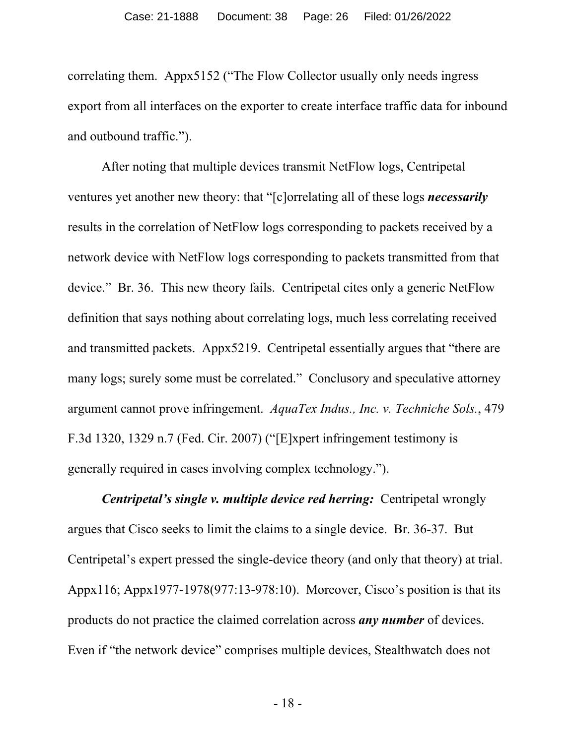correlating them. Appx5152 ("The Flow Collector usually only needs ingress export from all interfaces on the exporter to create interface traffic data for inbound and outbound traffic.").

After noting that multiple devices transmit NetFlow logs, Centripetal ventures yet another new theory: that "[c]orrelating all of these logs *necessarily* results in the correlation of NetFlow logs corresponding to packets received by a network device with NetFlow logs corresponding to packets transmitted from that device." Br. 36. This new theory fails. Centripetal cites only a generic NetFlow definition that says nothing about correlating logs, much less correlating received and transmitted packets. Appx5219. Centripetal essentially argues that "there are many logs; surely some must be correlated." Conclusory and speculative attorney argument cannot prove infringement. *AquaTex Indus., Inc. v. Techniche Sols.*, 479 F.3d 1320, 1329 n.7 (Fed. Cir. 2007) ("[E]xpert infringement testimony is generally required in cases involving complex technology.").

*Centripetal's single v. multiple device red herring:* Centripetal wrongly argues that Cisco seeks to limit the claims to a single device. Br. 36-37. But Centripetal's expert pressed the single-device theory (and only that theory) at trial. Appx116; Appx1977-1978(977:13-978:10). Moreover, Cisco's position is that its products do not practice the claimed correlation across *any number* of devices. Even if "the network device" comprises multiple devices, Stealthwatch does not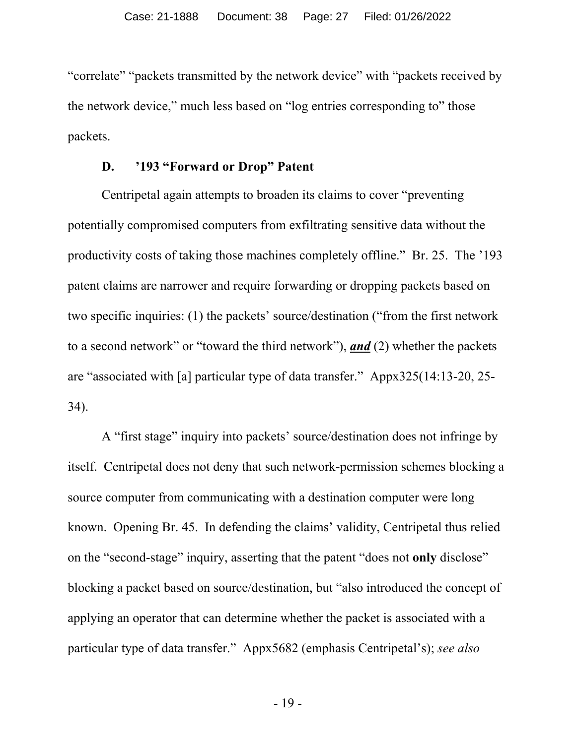"correlate" "packets transmitted by the network device" with "packets received by the network device," much less based on "log entries corresponding to" those packets.

#### **D. '193 "Forward or Drop" Patent**

Centripetal again attempts to broaden its claims to cover "preventing potentially compromised computers from exfiltrating sensitive data without the productivity costs of taking those machines completely offline." Br. 25. The '193 patent claims are narrower and require forwarding or dropping packets based on two specific inquiries: (1) the packets' source/destination ("from the first network to a second network" or "toward the third network"), *and* (2) whether the packets are "associated with [a] particular type of data transfer." Appx325(14:13-20, 25- 34).

A "first stage" inquiry into packets' source/destination does not infringe by itself. Centripetal does not deny that such network-permission schemes blocking a source computer from communicating with a destination computer were long known. Opening Br. 45. In defending the claims' validity, Centripetal thus relied on the "second-stage" inquiry, asserting that the patent "does not **only** disclose" blocking a packet based on source/destination, but "also introduced the concept of applying an operator that can determine whether the packet is associated with a particular type of data transfer." Appx5682 (emphasis Centripetal's); *see also*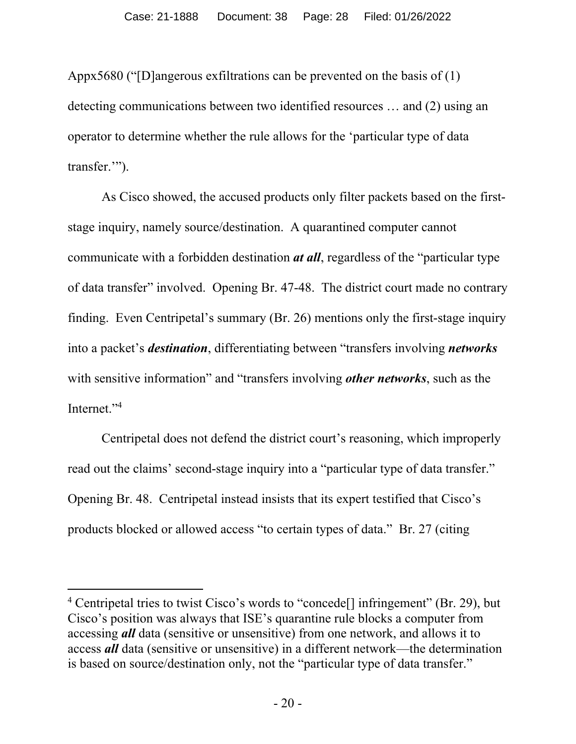Appx5680 ("[D]angerous exfiltrations can be prevented on the basis of (1) detecting communications between two identified resources … and (2) using an operator to determine whether the rule allows for the 'particular type of data transfer."").

As Cisco showed, the accused products only filter packets based on the firststage inquiry, namely source/destination. A quarantined computer cannot communicate with a forbidden destination *at all*, regardless of the "particular type of data transfer" involved. Opening Br. 47-48. The district court made no contrary finding. Even Centripetal's summary (Br. 26) mentions only the first-stage inquiry into a packet's *destination*, differentiating between "transfers involving *networks* with sensitive information" and "transfers involving *other networks*, such as the Internet."4

Centripetal does not defend the district court's reasoning, which improperly read out the claims' second-stage inquiry into a "particular type of data transfer." Opening Br. 48. Centripetal instead insists that its expert testified that Cisco's products blocked or allowed access "to certain types of data." Br. 27 (citing

<sup>&</sup>lt;sup>4</sup> Centripetal tries to twist Cisco's words to "concede<sup>[]</sup> infringement" (Br. 29), but Cisco's position was always that ISE's quarantine rule blocks a computer from accessing *all* data (sensitive or unsensitive) from one network, and allows it to access *all* data (sensitive or unsensitive) in a different network—the determination is based on source/destination only, not the "particular type of data transfer."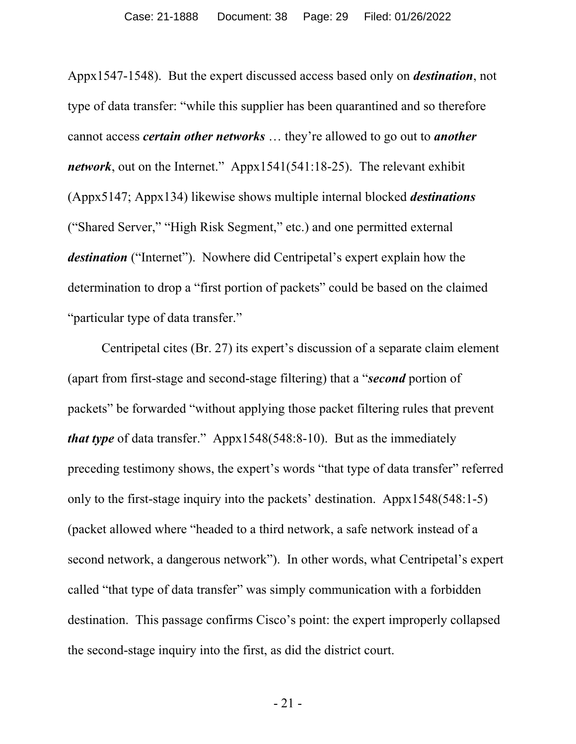Appx1547-1548). But the expert discussed access based only on *destination*, not type of data transfer: "while this supplier has been quarantined and so therefore cannot access *certain other networks* … they're allowed to go out to *another network*, out on the Internet." Appx1541(541:18-25). The relevant exhibit (Appx5147; Appx134) likewise shows multiple internal blocked *destinations* ("Shared Server," "High Risk Segment," etc.) and one permitted external *destination* ("Internet"). Nowhere did Centripetal's expert explain how the determination to drop a "first portion of packets" could be based on the claimed "particular type of data transfer."

Centripetal cites (Br. 27) its expert's discussion of a separate claim element (apart from first-stage and second-stage filtering) that a "*second* portion of packets" be forwarded "without applying those packet filtering rules that prevent *that type* of data transfer." Appx1548(548:8-10). But as the immediately preceding testimony shows, the expert's words "that type of data transfer" referred only to the first-stage inquiry into the packets' destination. Appx1548(548:1-5) (packet allowed where "headed to a third network, a safe network instead of a second network, a dangerous network"). In other words, what Centripetal's expert called "that type of data transfer" was simply communication with a forbidden destination. This passage confirms Cisco's point: the expert improperly collapsed the second-stage inquiry into the first, as did the district court.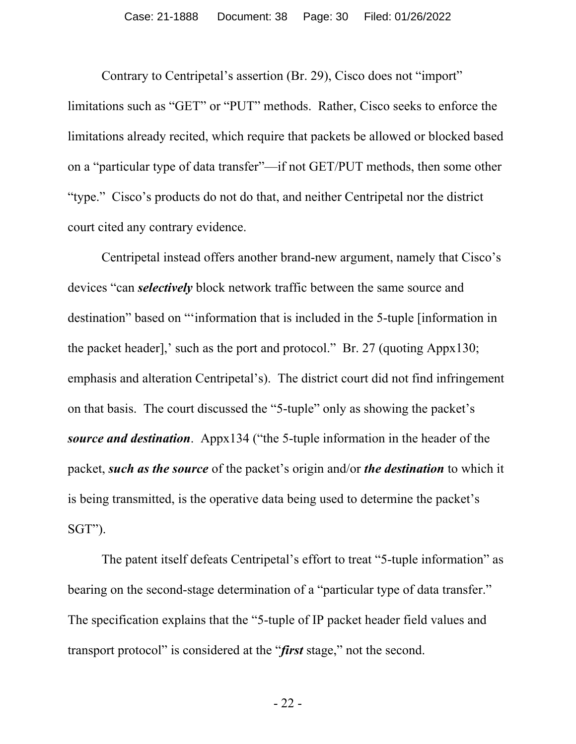Contrary to Centripetal's assertion (Br. 29), Cisco does not "import" limitations such as "GET" or "PUT" methods. Rather, Cisco seeks to enforce the limitations already recited, which require that packets be allowed or blocked based on a "particular type of data transfer"—if not GET/PUT methods, then some other "type." Cisco's products do not do that, and neither Centripetal nor the district court cited any contrary evidence.

Centripetal instead offers another brand-new argument, namely that Cisco's devices "can *selectively* block network traffic between the same source and destination" based on "'information that is included in the 5-tuple [information in the packet header],' such as the port and protocol." Br. 27 (quoting Appx130; emphasis and alteration Centripetal's). The district court did not find infringement on that basis. The court discussed the "5-tuple" only as showing the packet's *source and destination*. Appx134 ("the 5-tuple information in the header of the packet, *such as the source* of the packet's origin and/or *the destination* to which it is being transmitted, is the operative data being used to determine the packet's SGT").

The patent itself defeats Centripetal's effort to treat "5-tuple information" as bearing on the second-stage determination of a "particular type of data transfer." The specification explains that the "5-tuple of IP packet header field values and transport protocol" is considered at the "*first* stage," not the second.

- 22 -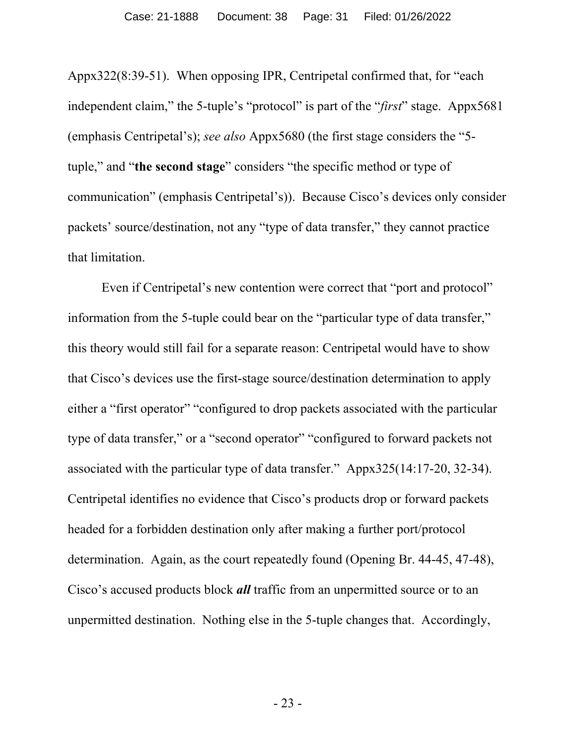Appx322(8:39-51). When opposing IPR, Centripetal confirmed that, for "each independent claim," the 5-tuple's "protocol" is part of the "*first*" stage. Appx5681 (emphasis Centripetal's); *see also* Appx5680 (the first stage considers the "5 tuple," and "**the second stage**" considers "the specific method or type of communication" (emphasis Centripetal's)). Because Cisco's devices only consider packets' source/destination, not any "type of data transfer," they cannot practice that limitation.

Even if Centripetal's new contention were correct that "port and protocol" information from the 5-tuple could bear on the "particular type of data transfer," this theory would still fail for a separate reason: Centripetal would have to show that Cisco's devices use the first-stage source/destination determination to apply either a "first operator" "configured to drop packets associated with the particular type of data transfer," or a "second operator" "configured to forward packets not associated with the particular type of data transfer." Appx325(14:17-20, 32-34). Centripetal identifies no evidence that Cisco's products drop or forward packets headed for a forbidden destination only after making a further port/protocol determination. Again, as the court repeatedly found (Opening Br. 44-45, 47-48), Cisco's accused products block *all* traffic from an unpermitted source or to an unpermitted destination. Nothing else in the 5-tuple changes that. Accordingly,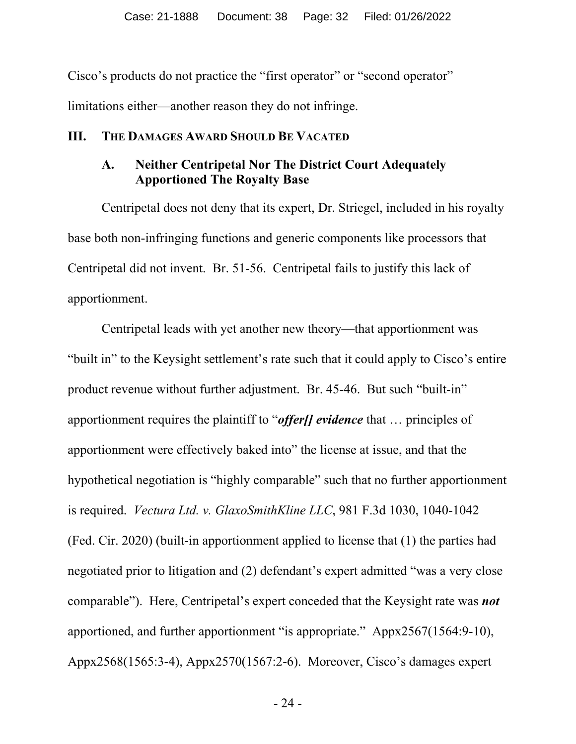Cisco's products do not practice the "first operator" or "second operator" limitations either—another reason they do not infringe.

#### **III. THE DAMAGES AWARD SHOULD BE VACATED**

## **A. Neither Centripetal Nor The District Court Adequately Apportioned The Royalty Base**

Centripetal does not deny that its expert, Dr. Striegel, included in his royalty base both non-infringing functions and generic components like processors that Centripetal did not invent. Br. 51-56. Centripetal fails to justify this lack of apportionment.

Centripetal leads with yet another new theory—that apportionment was "built in" to the Keysight settlement's rate such that it could apply to Cisco's entire product revenue without further adjustment. Br. 45-46. But such "built-in" apportionment requires the plaintiff to "*offer[] evidence* that … principles of apportionment were effectively baked into" the license at issue, and that the hypothetical negotiation is "highly comparable" such that no further apportionment is required. *Vectura Ltd. v. GlaxoSmithKline LLC*, 981 F.3d 1030, 1040-1042 (Fed. Cir. 2020) (built-in apportionment applied to license that (1) the parties had negotiated prior to litigation and (2) defendant's expert admitted "was a very close comparable"). Here, Centripetal's expert conceded that the Keysight rate was *not*  apportioned, and further apportionment "is appropriate." Appx2567(1564:9-10), Appx2568(1565:3-4), Appx2570(1567:2-6). Moreover, Cisco's damages expert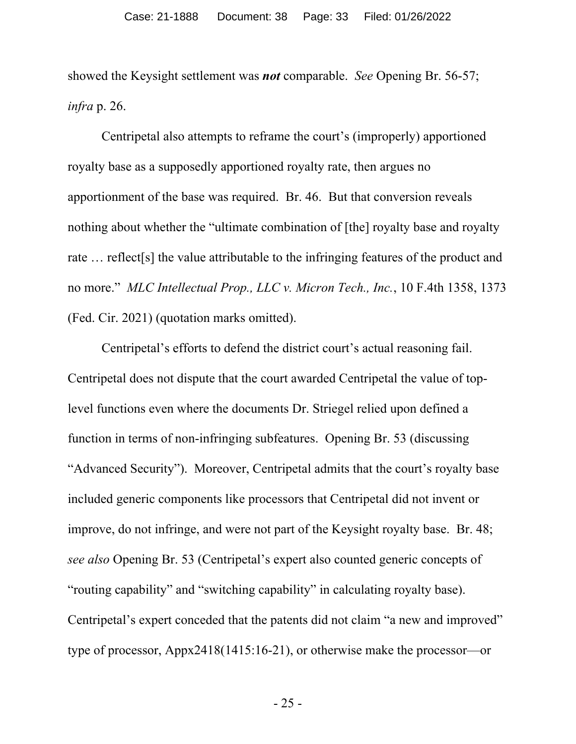showed the Keysight settlement was *not* comparable. *See* Opening Br. 56-57; *infra* p. 26.

Centripetal also attempts to reframe the court's (improperly) apportioned royalty base as a supposedly apportioned royalty rate, then argues no apportionment of the base was required. Br. 46. But that conversion reveals nothing about whether the "ultimate combination of [the] royalty base and royalty rate … reflect[s] the value attributable to the infringing features of the product and no more." *MLC Intellectual Prop., LLC v. Micron Tech., Inc.*, 10 F.4th 1358, 1373 (Fed. Cir. 2021) (quotation marks omitted).

Centripetal's efforts to defend the district court's actual reasoning fail. Centripetal does not dispute that the court awarded Centripetal the value of toplevel functions even where the documents Dr. Striegel relied upon defined a function in terms of non-infringing subfeatures. Opening Br. 53 (discussing "Advanced Security"). Moreover, Centripetal admits that the court's royalty base included generic components like processors that Centripetal did not invent or improve, do not infringe, and were not part of the Keysight royalty base. Br. 48; *see also* Opening Br. 53 (Centripetal's expert also counted generic concepts of "routing capability" and "switching capability" in calculating royalty base). Centripetal's expert conceded that the patents did not claim "a new and improved" type of processor, Appx2418(1415:16-21), or otherwise make the processor—or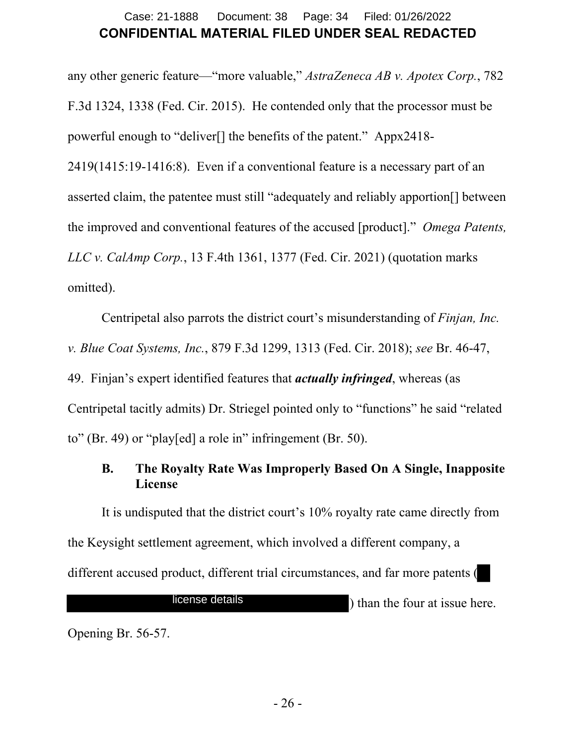## **CONFIDENTIAL MATERIAL FILED UNDER SEAL REDACTED** Case: 21-1888 Document: 38 Page: 34 Filed: 01/26/2022

any other generic feature—"more valuable," *AstraZeneca AB v. Apotex Corp.*, 782 F.3d 1324, 1338 (Fed. Cir. 2015). He contended only that the processor must be powerful enough to "deliver[] the benefits of the patent." Appx2418- 2419(1415:19-1416:8). Even if a conventional feature is a necessary part of an asserted claim, the patentee must still "adequately and reliably apportion[] between the improved and conventional features of the accused [product]." *Omega Patents, LLC v. CalAmp Corp.*, 13 F.4th 1361, 1377 (Fed. Cir. 2021) (quotation marks omitted).

Centripetal also parrots the district court's misunderstanding of *Finjan, Inc. v. Blue Coat Systems, Inc.*, 879 F.3d 1299, 1313 (Fed. Cir. 2018); *see* Br. 46-47, 49. Finjan's expert identified features that *actually infringed*, whereas (as Centripetal tacitly admits) Dr. Striegel pointed only to "functions" he said "related to" (Br. 49) or "play[ed] a role in" infringement (Br. 50).

#### **B. The Royalty Rate Was Improperly Based On A Single, Inapposite License**

It is undisputed that the district court's 10% royalty rate came directly from the Keysight settlement agreement, which involved a different company, a different accused product, different trial circumstances, and far more patents (

license details

) than the four at issue here.

Opening Br. 56-57.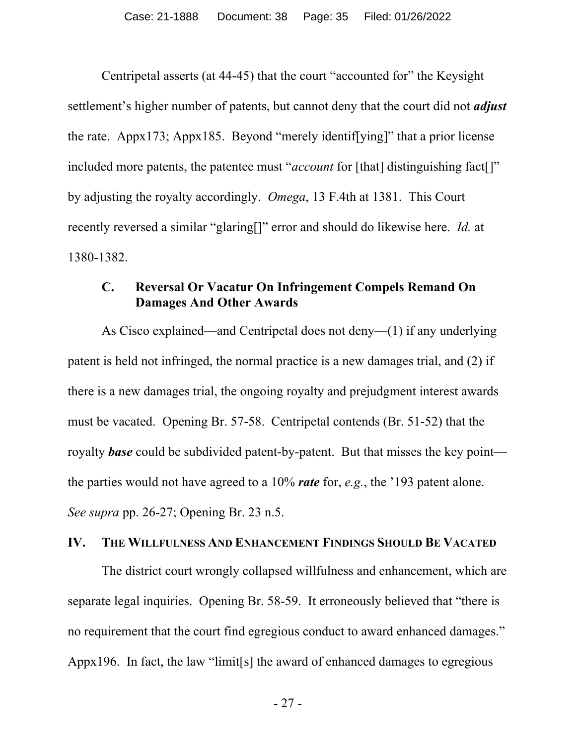Centripetal asserts (at 44-45) that the court "accounted for" the Keysight settlement's higher number of patents, but cannot deny that the court did not *adjust* the rate. Appx173; Appx185. Beyond "merely identif[ying]" that a prior license included more patents, the patentee must "*account* for [that] distinguishing fact[]" by adjusting the royalty accordingly. *Omega*, 13 F.4th at 1381. This Court recently reversed a similar "glaring[]" error and should do likewise here. *Id.* at 1380-1382.

#### **C. Reversal Or Vacatur On Infringement Compels Remand On Damages And Other Awards**

As Cisco explained—and Centripetal does not deny—(1) if any underlying patent is held not infringed, the normal practice is a new damages trial, and (2) if there is a new damages trial, the ongoing royalty and prejudgment interest awards must be vacated. Opening Br. 57-58. Centripetal contends (Br. 51-52) that the royalty *base* could be subdivided patent-by-patent. But that misses the key point the parties would not have agreed to a 10% *rate* for, *e.g.*, the '193 patent alone. *See supra* pp. 26-27; Opening Br. 23 n.5.

#### **IV. THE WILLFULNESS AND ENHANCEMENT FINDINGS SHOULD BE VACATED**

The district court wrongly collapsed willfulness and enhancement, which are separate legal inquiries. Opening Br. 58-59. It erroneously believed that "there is no requirement that the court find egregious conduct to award enhanced damages." Appx196. In fact, the law "limit[s] the award of enhanced damages to egregious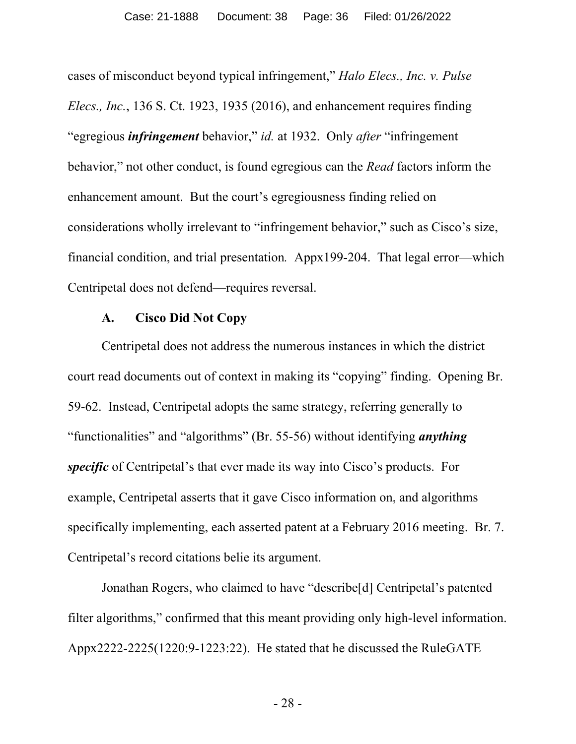cases of misconduct beyond typical infringement," *Halo Elecs., Inc. v. Pulse Elecs., Inc.*, 136 S. Ct. 1923, 1935 (2016), and enhancement requires finding "egregious *infringement* behavior," *id.* at 1932. Only *after* "infringement behavior," not other conduct, is found egregious can the *Read* factors inform the enhancement amount. But the court's egregiousness finding relied on considerations wholly irrelevant to "infringement behavior," such as Cisco's size, financial condition, and trial presentation*.* Appx199-204. That legal error—which Centripetal does not defend—requires reversal.

#### **A. Cisco Did Not Copy**

Centripetal does not address the numerous instances in which the district court read documents out of context in making its "copying" finding. Opening Br. 59-62. Instead, Centripetal adopts the same strategy, referring generally to "functionalities" and "algorithms" (Br. 55-56) without identifying *anything specific* of Centripetal's that ever made its way into Cisco's products. For example, Centripetal asserts that it gave Cisco information on, and algorithms specifically implementing, each asserted patent at a February 2016 meeting. Br. 7. Centripetal's record citations belie its argument.

Jonathan Rogers, who claimed to have "describe[d] Centripetal's patented filter algorithms," confirmed that this meant providing only high-level information. Appx2222-2225(1220:9-1223:22). He stated that he discussed the RuleGATE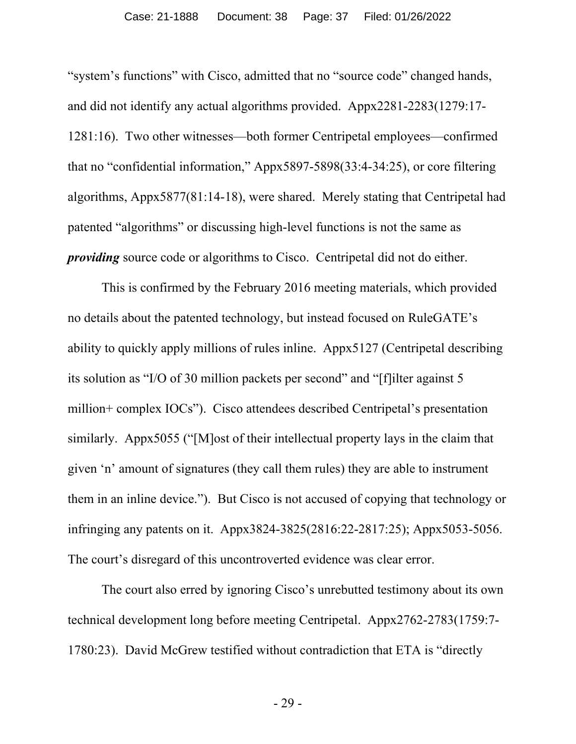"system's functions" with Cisco, admitted that no "source code" changed hands, and did not identify any actual algorithms provided. Appx2281-2283(1279:17- 1281:16). Two other witnesses—both former Centripetal employees—confirmed that no "confidential information," Appx5897-5898(33:4-34:25), or core filtering algorithms, Appx5877(81:14-18), were shared. Merely stating that Centripetal had patented "algorithms" or discussing high-level functions is not the same as *providing* source code or algorithms to Cisco. Centripetal did not do either.

This is confirmed by the February 2016 meeting materials, which provided no details about the patented technology, but instead focused on RuleGATE's ability to quickly apply millions of rules inline. Appx5127 (Centripetal describing its solution as "I/O of 30 million packets per second" and "[f]ilter against 5 million+ complex IOCs"). Cisco attendees described Centripetal's presentation similarly. Appx5055 ("[M]ost of their intellectual property lays in the claim that given 'n' amount of signatures (they call them rules) they are able to instrument them in an inline device."). But Cisco is not accused of copying that technology or infringing any patents on it. Appx3824-3825(2816:22-2817:25); Appx5053-5056. The court's disregard of this uncontroverted evidence was clear error.

The court also erred by ignoring Cisco's unrebutted testimony about its own technical development long before meeting Centripetal. Appx2762-2783(1759:7- 1780:23). David McGrew testified without contradiction that ETA is "directly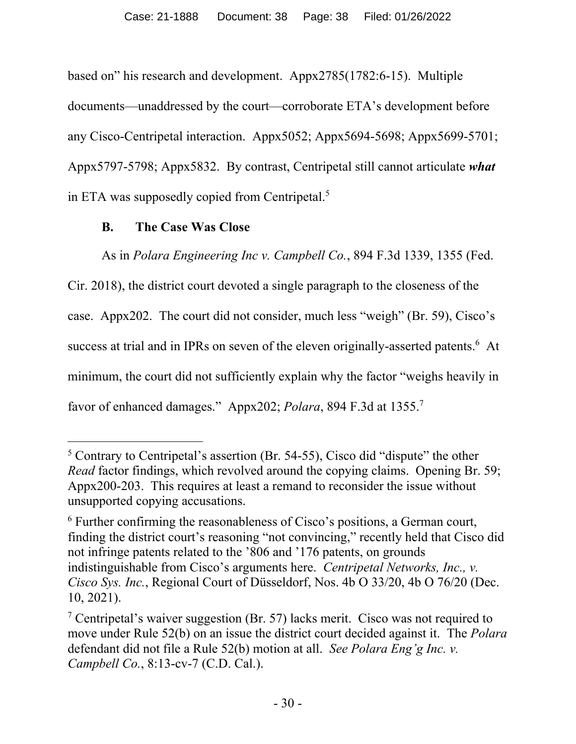based on" his research and development. Appx2785(1782:6-15). Multiple documents—unaddressed by the court—corroborate ETA's development before any Cisco-Centripetal interaction. Appx5052; Appx5694-5698; Appx5699-5701; Appx5797-5798; Appx5832. By contrast, Centripetal still cannot articulate *what* in ETA was supposedly copied from Centripetal.<sup>5</sup>

## **B. The Case Was Close**

As in *Polara Engineering Inc v. Campbell Co.*, 894 F.3d 1339, 1355 (Fed.

Cir. 2018), the district court devoted a single paragraph to the closeness of the case. Appx202. The court did not consider, much less "weigh" (Br. 59), Cisco's success at trial and in IPRs on seven of the eleven originally-asserted patents.<sup>6</sup> At minimum, the court did not sufficiently explain why the factor "weighs heavily in favor of enhanced damages." Appx202; *Polara*, 894 F.3d at 1355.7

<sup>&</sup>lt;sup>5</sup> Contrary to Centripetal's assertion (Br. 54-55), Cisco did "dispute" the other *Read* factor findings, which revolved around the copying claims. Opening Br. 59; Appx200-203. This requires at least a remand to reconsider the issue without unsupported copying accusations.

<sup>&</sup>lt;sup>6</sup> Further confirming the reasonableness of Cisco's positions, a German court, finding the district court's reasoning "not convincing," recently held that Cisco did not infringe patents related to the '806 and '176 patents, on grounds indistinguishable from Cisco's arguments here. *Centripetal Networks, Inc., v. Cisco Sys. Inc.*, Regional Court of Düsseldorf, Nos. 4b O 33/20, 4b O 76/20 (Dec. 10, 2021).

<sup>&</sup>lt;sup>7</sup> Centripetal's waiver suggestion (Br. 57) lacks merit. Cisco was not required to move under Rule 52(b) on an issue the district court decided against it. The *Polara* defendant did not file a Rule 52(b) motion at all. *See Polara Eng'g Inc. v. Campbell Co.*, 8:13-cv-7 (C.D. Cal.).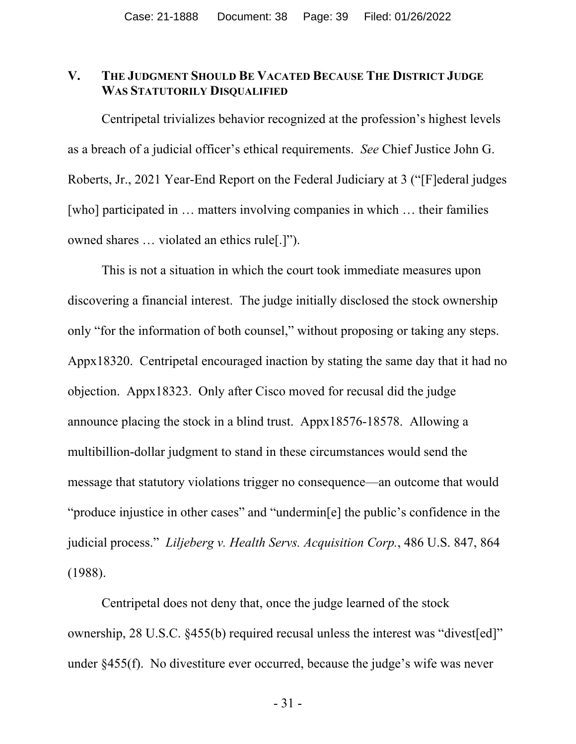#### **V. THE JUDGMENT SHOULD BE VACATED BECAUSE THE DISTRICT JUDGE WAS STATUTORILY DISQUALIFIED**

Centripetal trivializes behavior recognized at the profession's highest levels as a breach of a judicial officer's ethical requirements. *See* Chief Justice John G. Roberts, Jr., 2021 Year-End Report on the Federal Judiciary at 3 ("[F]ederal judges [who] participated in … matters involving companies in which … their families owned shares … violated an ethics rule[.]").

This is not a situation in which the court took immediate measures upon discovering a financial interest. The judge initially disclosed the stock ownership only "for the information of both counsel," without proposing or taking any steps. Appx18320. Centripetal encouraged inaction by stating the same day that it had no objection. Appx18323. Only after Cisco moved for recusal did the judge announce placing the stock in a blind trust. Appx18576-18578. Allowing a multibillion-dollar judgment to stand in these circumstances would send the message that statutory violations trigger no consequence—an outcome that would "produce injustice in other cases" and "undermin[e] the public's confidence in the judicial process." *Liljeberg v. Health Servs. Acquisition Corp.*, 486 U.S. 847, 864 (1988).

Centripetal does not deny that, once the judge learned of the stock ownership, 28 U.S.C. §455(b) required recusal unless the interest was "divest[ed]" under §455(f). No divestiture ever occurred, because the judge's wife was never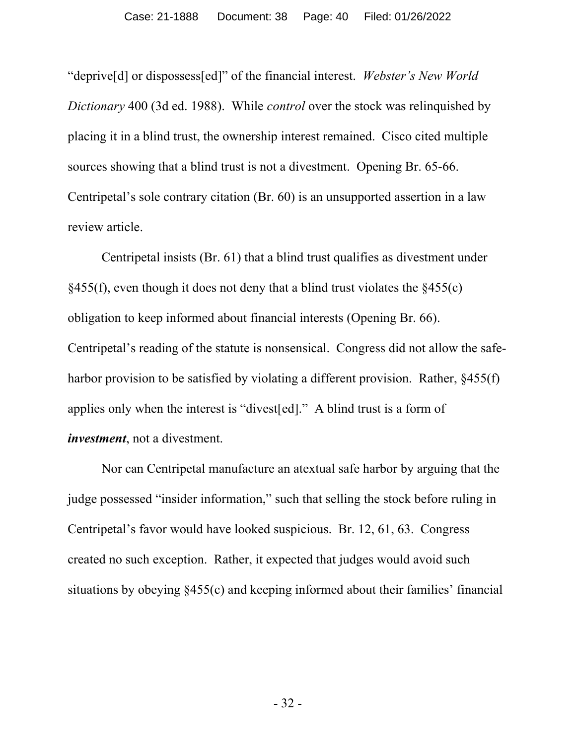"deprive[d] or dispossess[ed]" of the financial interest. *Webster's New World Dictionary* 400 (3d ed. 1988). While *control* over the stock was relinquished by placing it in a blind trust, the ownership interest remained. Cisco cited multiple sources showing that a blind trust is not a divestment. Opening Br. 65-66. Centripetal's sole contrary citation (Br. 60) is an unsupported assertion in a law review article.

Centripetal insists (Br. 61) that a blind trust qualifies as divestment under  $§455(f)$ , even though it does not deny that a blind trust violates the  $§455(c)$ obligation to keep informed about financial interests (Opening Br. 66). Centripetal's reading of the statute is nonsensical. Congress did not allow the safeharbor provision to be satisfied by violating a different provision. Rather, §455(f) applies only when the interest is "divest[ed]." A blind trust is a form of *investment*, not a divestment.

Nor can Centripetal manufacture an atextual safe harbor by arguing that the judge possessed "insider information," such that selling the stock before ruling in Centripetal's favor would have looked suspicious. Br. 12, 61, 63. Congress created no such exception. Rather, it expected that judges would avoid such situations by obeying §455(c) and keeping informed about their families' financial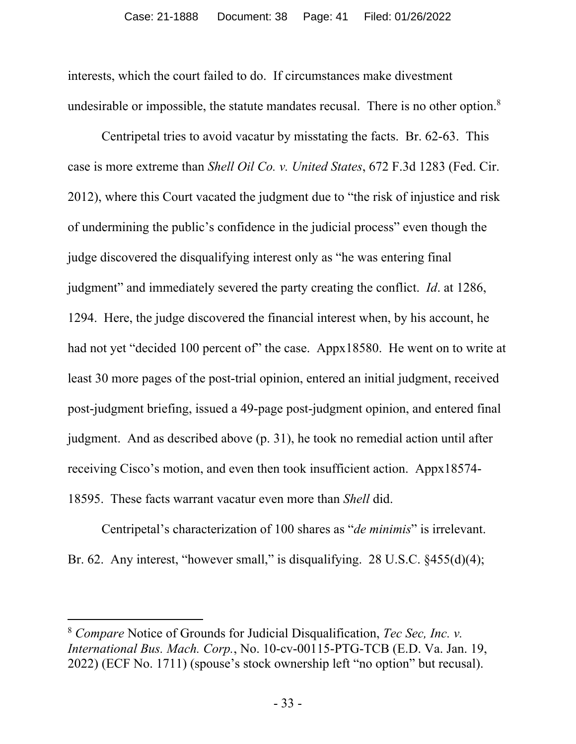interests, which the court failed to do. If circumstances make divestment undesirable or impossible, the statute mandates recusal. There is no other option.<sup>8</sup>

Centripetal tries to avoid vacatur by misstating the facts. Br. 62-63. This case is more extreme than *Shell Oil Co. v. United States*, 672 F.3d 1283 (Fed. Cir. 2012), where this Court vacated the judgment due to "the risk of injustice and risk of undermining the public's confidence in the judicial process" even though the judge discovered the disqualifying interest only as "he was entering final judgment" and immediately severed the party creating the conflict. *Id*. at 1286, 1294. Here, the judge discovered the financial interest when, by his account, he had not yet "decided 100 percent of" the case. Appx18580. He went on to write at least 30 more pages of the post-trial opinion, entered an initial judgment, received post-judgment briefing, issued a 49-page post-judgment opinion, and entered final judgment. And as described above (p. 31), he took no remedial action until after receiving Cisco's motion, and even then took insufficient action. Appx18574- 18595. These facts warrant vacatur even more than *Shell* did.

Centripetal's characterization of 100 shares as "*de minimis*" is irrelevant. Br. 62. Any interest, "however small," is disqualifying. 28 U.S.C.  $\frac{455(d)}{4}$ ;

<sup>8</sup> *Compare* Notice of Grounds for Judicial Disqualification, *Tec Sec, Inc. v. International Bus. Mach. Corp.*, No. 10-cv-00115-PTG-TCB (E.D. Va. Jan. 19, 2022) (ECF No. 1711) (spouse's stock ownership left "no option" but recusal).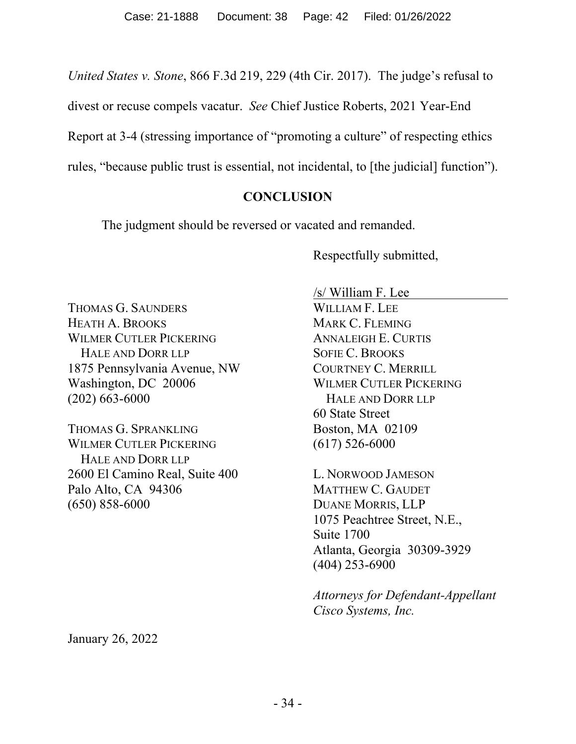*United States v. Stone*, 866 F.3d 219, 229 (4th Cir. 2017). The judge's refusal to

divest or recuse compels vacatur. *See* Chief Justice Roberts, 2021 Year-End

Report at 3-4 (stressing importance of "promoting a culture" of respecting ethics

rules, "because public trust is essential, not incidental, to [the judicial] function").

#### **CONCLUSION**

The judgment should be reversed or vacated and remanded.

Respectfully submitted,

THOMAS G. SAUNDERS HEATH A. BROOKS WILMER CUTLER PICKERING HALE AND DORR LLP 1875 Pennsylvania Avenue, NW Washington, DC 20006 (202) 663-6000

THOMAS G. SPRANKLING WILMER CUTLER PICKERING HALE AND DORR LLP 2600 El Camino Real, Suite 400 Palo Alto, CA 94306 (650) 858-6000

/s/ William F. Lee WILLIAM F. LEE MARK C. FLEMING ANNALEIGH E. CURTIS SOFIE C. BROOKS COURTNEY C. MERRILL WILMER CUTLER PICKERING HALE AND DORR LLP 60 State Street Boston, MA 02109 (617) 526-6000

L. NORWOOD JAMESON MATTHEW C. GAUDET DUANE MORRIS, LLP 1075 Peachtree Street, N.E., Suite 1700 Atlanta, Georgia 30309-3929 (404) 253-6900

*Attorneys for Defendant-Appellant Cisco Systems, Inc.*

January 26, 2022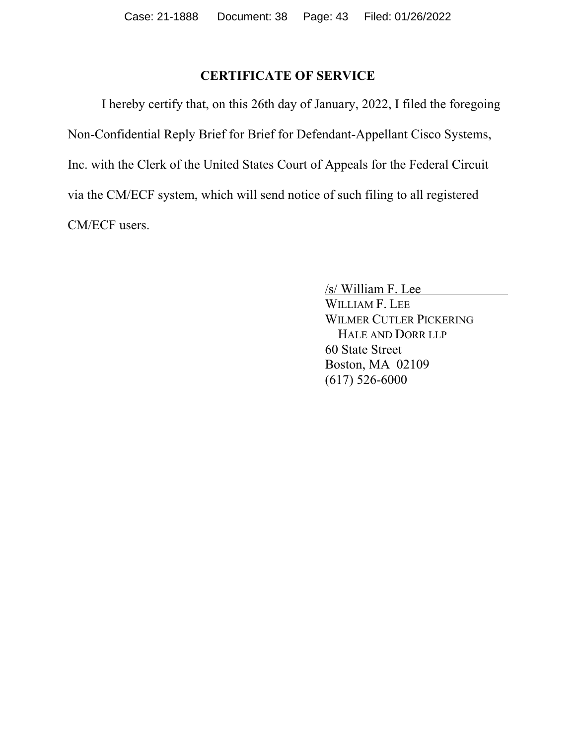### **CERTIFICATE OF SERVICE**

I hereby certify that, on this 26th day of January, 2022, I filed the foregoing Non-Confidential Reply Brief for Brief for Defendant-Appellant Cisco Systems, Inc. with the Clerk of the United States Court of Appeals for the Federal Circuit via the CM/ECF system, which will send notice of such filing to all registered CM/ECF users.

> /s/ William F. Lee WILLIAM F. LEE WILMER CUTLER PICKERING HALE AND DORR LLP 60 State Street Boston, MA 02109 (617) 526-6000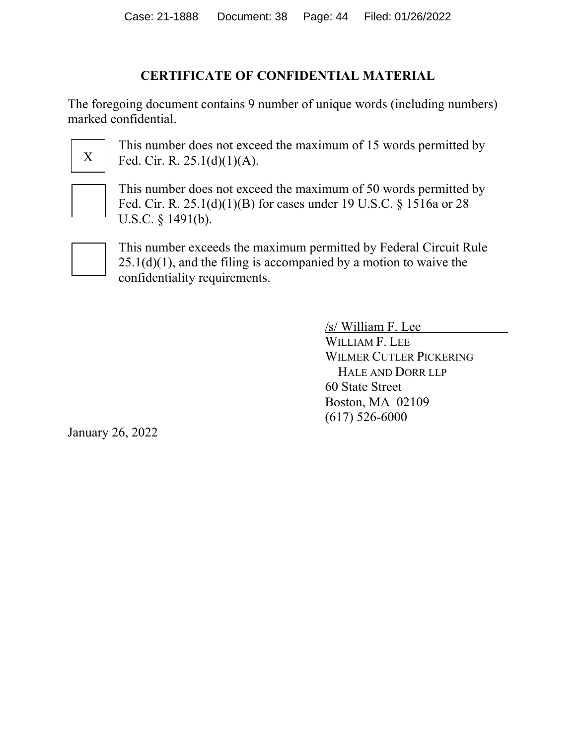## **CERTIFICATE OF CONFIDENTIAL MATERIAL**

The foregoing document contains 9 number of unique words (including numbers) marked confidential.



This number does not exceed the maximum of 15 words permitted by Fed. Cir. R. 25.1(d)(1)(A).

This number does not exceed the maximum of 50 words permitted by Fed. Cir. R. 25.1(d)(1)(B) for cases under 19 U.S.C. § 1516a or 28 U.S.C. § 1491(b).



This number exceeds the maximum permitted by Federal Circuit Rule  $25.1(d)(1)$ , and the filing is accompanied by a motion to waive the confidentiality requirements.

> /s/ William F. Lee WILLIAM F. LEE WILMER CUTLER PICKERING HALE AND DORR LLP 60 State Street Boston, MA 02109 (617) 526-6000

January 26, 2022